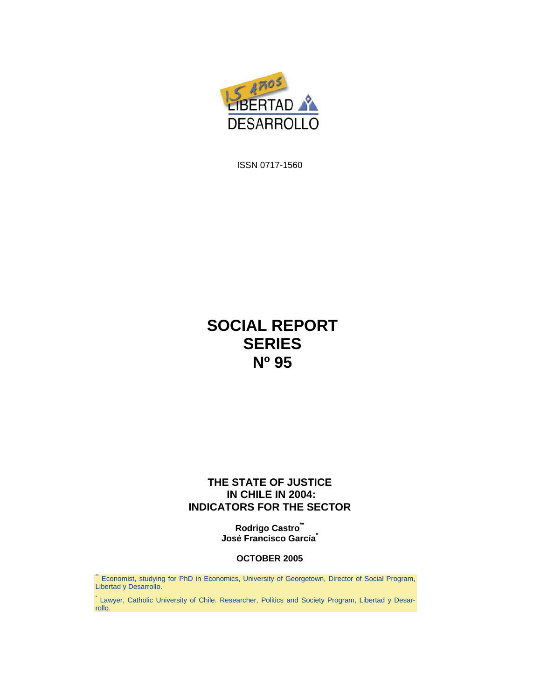

ISSN 0717-1560

# **SOCIAL REPORT SERIES Nº 95**

#### **THE STATE OF JUSTICE IN CHILE IN 2004: INDICATORS FOR THE SECTOR**

**Rodrigo Castro\*\* José Francisco García\***

#### **OCTOBER 2005**

\*\* Economist, studying for PhD in Economics, University of Georgetown, Director of Social Program, Libertad y Desarrollo.

\* Lawyer, Catholic University of Chile. Researcher, Politics and Society Program, Libertad y Desarrollo.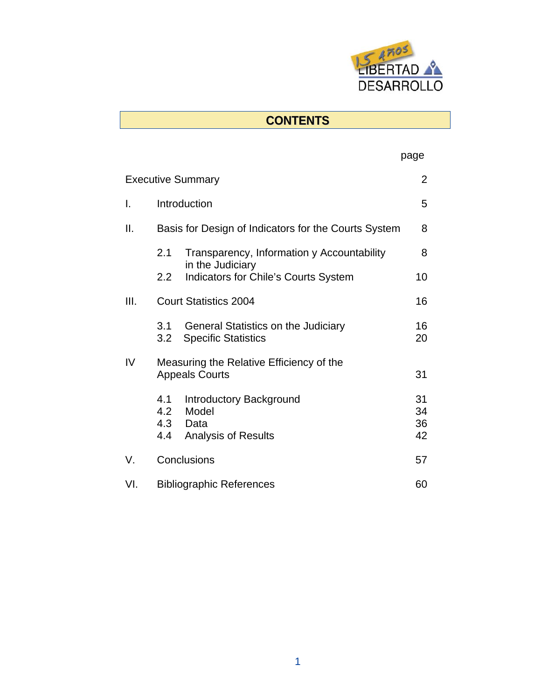

# **CONTENTS**

#### page that the contract of the contract of the page of the contract of the contract of the contract of the contract of the contract of the contract of the contract of the contract of the contract of the contract of the cont

| <b>Executive Summary</b> |                                                                   |                                                                                       |                      |  |  |  |
|--------------------------|-------------------------------------------------------------------|---------------------------------------------------------------------------------------|----------------------|--|--|--|
| I.                       | Introduction                                                      |                                                                                       |                      |  |  |  |
| Ш.                       | Basis for Design of Indicators for the Courts System              |                                                                                       |                      |  |  |  |
|                          | 2.1                                                               | Transparency, Information y Accountability                                            | 8                    |  |  |  |
|                          | 2.2                                                               | in the Judiciary<br><b>Indicators for Chile's Courts System</b>                       | 10                   |  |  |  |
| III.                     |                                                                   | <b>Court Statistics 2004</b>                                                          | 16                   |  |  |  |
|                          | 3.1<br>3.2 <sub>2</sub>                                           | General Statistics on the Judiciary<br><b>Specific Statistics</b>                     | 16<br>20             |  |  |  |
| IV                       | Measuring the Relative Efficiency of the<br><b>Appeals Courts</b> |                                                                                       |                      |  |  |  |
|                          | 4.1<br>4.4                                                        | <b>Introductory Background</b><br>4.2 Model<br>4.3 Data<br><b>Analysis of Results</b> | 31<br>34<br>36<br>42 |  |  |  |
| V.                       | Conclusions                                                       |                                                                                       |                      |  |  |  |
| VI.                      | <b>Bibliographic References</b><br>60                             |                                                                                       |                      |  |  |  |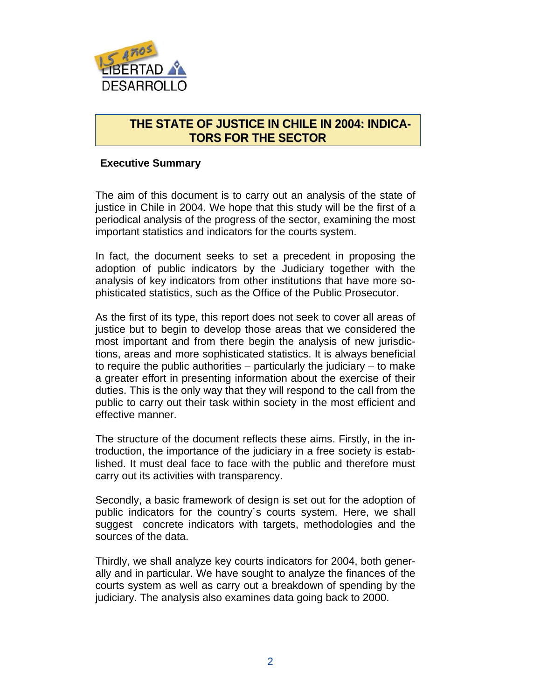

# **THE STATE OF JUSTICE IN CHILE IN 2004: INDICA-TORS FOR THE SECTOR**

#### **Executive Summary**

The aim of this document is to carry out an analysis of the state of justice in Chile in 2004. We hope that this study will be the first of a periodical analysis of the progress of the sector, examining the most important statistics and indicators for the courts system.

In fact, the document seeks to set a precedent in proposing the adoption of public indicators by the Judiciary together with the analysis of key indicators from other institutions that have more sophisticated statistics, such as the Office of the Public Prosecutor.

As the first of its type, this report does not seek to cover all areas of justice but to begin to develop those areas that we considered the most important and from there begin the analysis of new jurisdictions, areas and more sophisticated statistics. It is always beneficial to require the public authorities – particularly the judiciary – to make a greater effort in presenting information about the exercise of their duties. This is the only way that they will respond to the call from the public to carry out their task within society in the most efficient and effective manner.

The structure of the document reflects these aims. Firstly, in the introduction, the importance of the judiciary in a free society is established. It must deal face to face with the public and therefore must carry out its activities with transparency.

Secondly, a basic framework of design is set out for the adoption of public indicators for the country´s courts system. Here, we shall suggest concrete indicators with targets, methodologies and the sources of the data.

Thirdly, we shall analyze key courts indicators for 2004, both generally and in particular. We have sought to analyze the finances of the courts system as well as carry out a breakdown of spending by the judiciary. The analysis also examines data going back to 2000.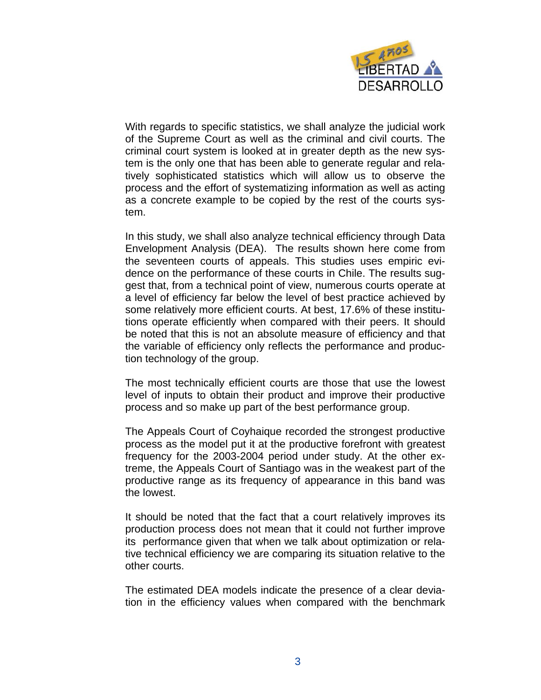

With regards to specific statistics, we shall analyze the judicial work of the Supreme Court as well as the criminal and civil courts. The criminal court system is looked at in greater depth as the new system is the only one that has been able to generate regular and relatively sophisticated statistics which will allow us to observe the process and the effort of systematizing information as well as acting as a concrete example to be copied by the rest of the courts system.

In this study, we shall also analyze technical efficiency through Data Envelopment Analysis (DEA). The results shown here come from the seventeen courts of appeals. This studies uses empiric evidence on the performance of these courts in Chile. The results suggest that, from a technical point of view, numerous courts operate at a level of efficiency far below the level of best practice achieved by some relatively more efficient courts. At best, 17.6% of these institutions operate efficiently when compared with their peers. It should be noted that this is not an absolute measure of efficiency and that the variable of efficiency only reflects the performance and production technology of the group.

The most technically efficient courts are those that use the lowest level of inputs to obtain their product and improve their productive process and so make up part of the best performance group.

The Appeals Court of Coyhaique recorded the strongest productive process as the model put it at the productive forefront with greatest frequency for the 2003-2004 period under study. At the other extreme, the Appeals Court of Santiago was in the weakest part of the productive range as its frequency of appearance in this band was the lowest.

It should be noted that the fact that a court relatively improves its production process does not mean that it could not further improve its performance given that when we talk about optimization or relative technical efficiency we are comparing its situation relative to the other courts.

The estimated DEA models indicate the presence of a clear deviation in the efficiency values when compared with the benchmark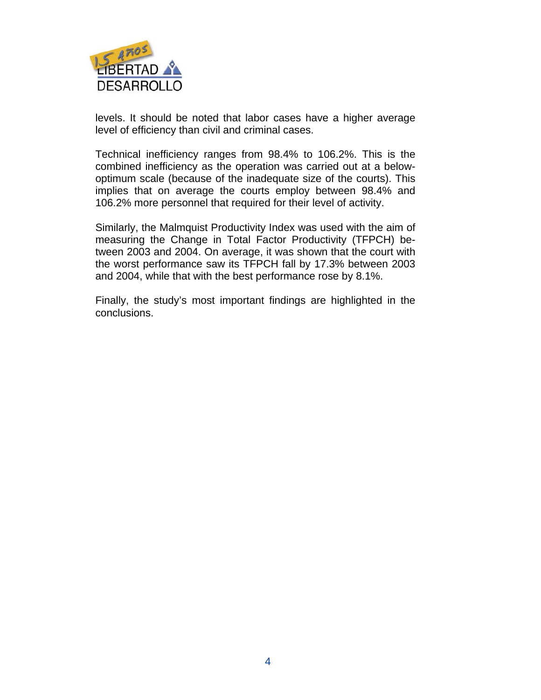

levels. It should be noted that labor cases have a higher average level of efficiency than civil and criminal cases.

Technical inefficiency ranges from 98.4% to 106.2%. This is the combined inefficiency as the operation was carried out at a belowoptimum scale (because of the inadequate size of the courts). This implies that on average the courts employ between 98.4% and 106.2% more personnel that required for their level of activity.

Similarly, the Malmquist Productivity Index was used with the aim of measuring the Change in Total Factor Productivity (TFPCH) between 2003 and 2004. On average, it was shown that the court with the worst performance saw its TFPCH fall by 17.3% between 2003 and 2004, while that with the best performance rose by 8.1%.

Finally, the study's most important findings are highlighted in the conclusions.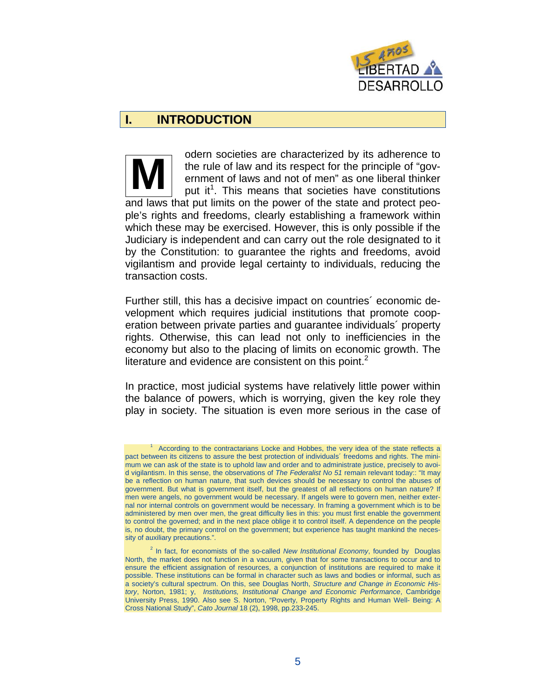

# **I. INTRODUCTION**

odern societies are characterized by its adherence to the rule of law and its respect for the principle of "government of laws and not of men" as one liberal thinker put it<sup>1</sup>. This means that societies have constitutions and laws that put limits on the power of the state and protect people's rights and freedoms, clearly establishing a framework within which these may be exercised. However, this is only possible if the Judiciary is independent and can carry out the role designated to it by the Constitution: to guarantee the rights and freedoms, avoid vigilantism and provide legal certainty to individuals, reducing the transaction costs. **M** 

Further still, this has a decisive impact on countries´ economic development which requires judicial institutions that promote cooperation between private parties and guarantee individuals´ property rights. Otherwise, this can lead not only to inefficiencies in the economy but also to the placing of limits on economic growth. The literature and evidence are consistent on this point. $<sup>2</sup>$ </sup>

In practice, most judicial systems have relatively little power within the balance of powers, which is worrying, given the key role they play in society. The situation is even more serious in the case of

<sup>1</sup> According to the contractarians Locke and Hobbes, the very idea of the state reflects a pact between its citizens to assure the best protection of individuals' freedoms and rights. The minimum we can ask of the state is to uphold law and order and to administrate justice, precisely to avoid vigilantism. In this sense, the observations of *The Federalist No 51* remain relevant today:: "It may be a reflection on human nature, that such devices should be necessary to control the abuses of government. But what is government itself, but the greatest of all reflections on human nature? If men were angels, no government would be necessary. If angels were to govern men, neither external nor internal controls on government would be necessary. In framing a government which is to be administered by men over men, the great difficulty lies in this: you must first enable the government to control the governed; and in the next place oblige it to control itself. A dependence on the people is, no doubt, the primary control on the government; but experience has taught mankind the necessity of auxiliary precautions.".

<sup>&</sup>lt;sup>2</sup> In fact, for economists of the so-called *New Institutional Economy*, founded by Douglas North, the market does not function in a vacuum, given that for some transactions to occur and to ensure the efficient assignation of resources, a conjunction of institutions are required to make it possible. These institutions can be formal in character such as laws and bodies or informal, such as a society's cultural spectrum. On this, see Douglas North, *Structure and Change in Economic History*, Norton, 1981; y, *Institutions, Institutional Change and Economic Performance*, Cambridge University Press, 1990. Also see S. Norton, "Poverty, Property Rights and Human Well- Being: A Cross National Study", *Cato Journal* 18 (2), 1998, pp.233-245.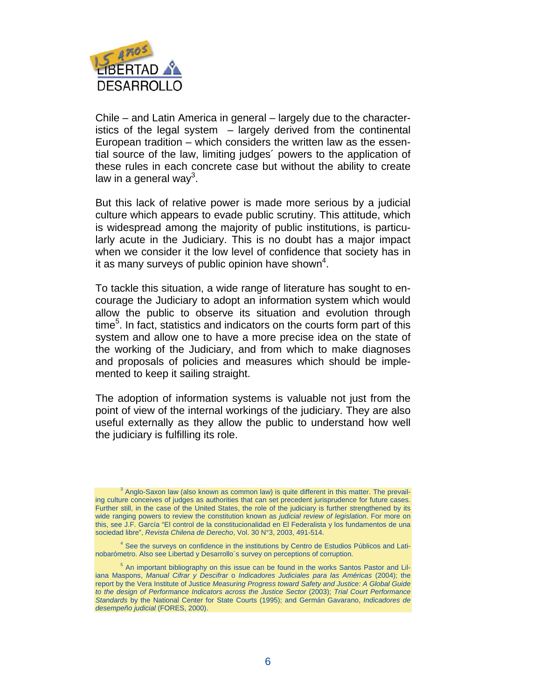

Chile – and Latin America in general – largely due to the characteristics of the legal system – largely derived from the continental European tradition – which considers the written law as the essential source of the law, limiting judges´ powers to the application of these rules in each concrete case but without the ability to create law in a general way<sup>3</sup>.

But this lack of relative power is made more serious by a judicial culture which appears to evade public scrutiny. This attitude, which is widespread among the majority of public institutions, is particularly acute in the Judiciary. This is no doubt has a major impact when we consider it the low level of confidence that society has in it as many surveys of public opinion have shown<sup>4</sup>.

To tackle this situation, a wide range of literature has sought to encourage the Judiciary to adopt an information system which would allow the public to observe its situation and evolution through time<sup>5</sup>. In fact, statistics and indicators on the courts form part of this system and allow one to have a more precise idea on the state of the working of the Judiciary, and from which to make diagnoses and proposals of policies and measures which should be implemented to keep it sailing straight.

The adoption of information systems is valuable not just from the point of view of the internal workings of the judiciary. They are also useful externally as they allow the public to understand how well the judiciary is fulfilling its role.

 $3$  Anglo-Saxon law (also known as common law) is quite different in this matter. The prevailing culture conceives of judges as authorities that can set precedent jurisprudence for future cases. Further still, in the case of the United States, the role of the judiciary is further strengthened by its wide ranging powers to review the constitution known as *judicial review of legislation*. For more on this, see J.F. García "El control de la constitucionalidad en El Federalista y los fundamentos de una sociedad libre", *Revista Chilena de Derecho*, Vol. 30 N°3, 2003, 491-514.

<sup>&</sup>lt;sup>4</sup> See the surveys on confidence in the institutions by Centro de Estudios Públicos and Latinobarómetro. Also see Libertad y Desarrollo´s survey on perceptions of corruption.

<sup>&</sup>lt;sup>5</sup> An important bibliography on this issue can be found in the works Santos Pastor and Liliana Maspons, *Manual Cifrar y Descifrar* o *Indicadores Judiciales para las Américas* (2004); the report by the Vera Institute of Justice *Measuring Progress toward Safety and Justice: A Global Guide to the design of Performance Indicators across the Justice Sector* (2003); *Trial Court Performance Standards* by the National Center for State Courts (1995); and Germán Gavarano, *Indicadores de desempeño judicial* (FORES, 2000).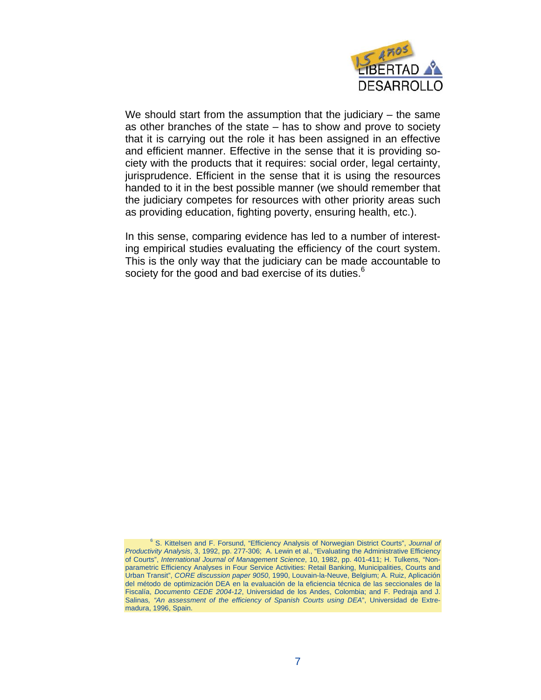

We should start from the assumption that the judiciary – the same as other branches of the state – has to show and prove to society that it is carrying out the role it has been assigned in an effective and efficient manner. Effective in the sense that it is providing society with the products that it requires: social order, legal certainty, jurisprudence. Efficient in the sense that it is using the resources handed to it in the best possible manner (we should remember that the judiciary competes for resources with other priority areas such as providing education, fighting poverty, ensuring health, etc.).

In this sense, comparing evidence has led to a number of interesting empirical studies evaluating the efficiency of the court system. This is the only way that the judiciary can be made accountable to society for the good and bad exercise of its duties.<sup>6</sup>

<sup>6</sup> S. Kittelsen and F. Forsund, "Efficiency Analysis of Norwegian District Courts", *Journal of Productivity Analysis*, 3, 1992, pp. 277-306; A. Lewin et al., "Evaluating the Administrative Efficiency of Courts", *International Journal of Management Science*, 10, 1982, pp. 401-411; H. Tulkens, "Nonparametric Efficiency Analyses in Four Service Activities: Retail Banking, Municipalities, Courts and Urban Transit", *CORE discussion paper 9050*, 1990, Louvain-la-Neuve, Belgium; A. Ruiz, Aplicación del método de optimización DEA en la evaluación de la eficiencia técnica de las seccionales de la Fiscalía, *Documento CEDE 2004-12*, Universidad de los Andes, Colombia; and F. Pedraja and J. Salinas*, "An assessment of the efficiency of Spanish Courts using DEA*", Universidad de Extremadura, 1996, Spain.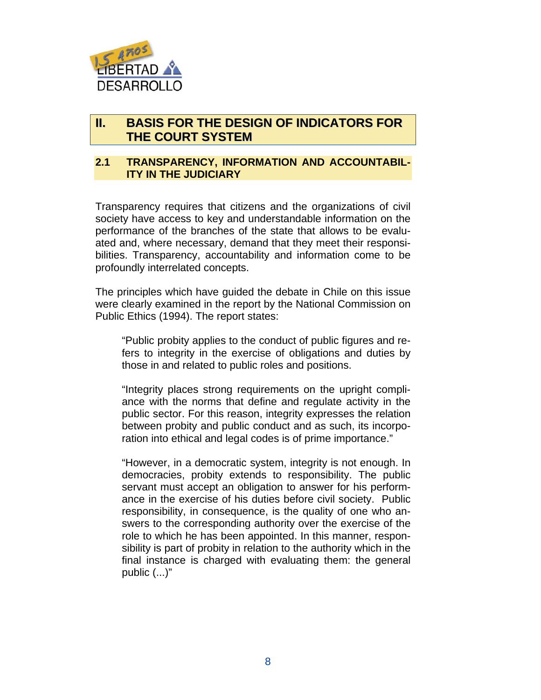

# **II. BASIS FOR THE DESIGN OF INDICATORS FOR THE COURT SYSTEM**

#### **2.1 TRANSPARENCY, INFORMATION AND ACCOUNTABIL-ITY IN THE JUDICIARY**

Transparency requires that citizens and the organizations of civil society have access to key and understandable information on the performance of the branches of the state that allows to be evaluated and, where necessary, demand that they meet their responsibilities. Transparency, accountability and information come to be profoundly interrelated concepts.

The principles which have guided the debate in Chile on this issue were clearly examined in the report by the National Commission on Public Ethics (1994). The report states:

"Public probity applies to the conduct of public figures and refers to integrity in the exercise of obligations and duties by those in and related to public roles and positions.

"Integrity places strong requirements on the upright compliance with the norms that define and regulate activity in the public sector. For this reason, integrity expresses the relation between probity and public conduct and as such, its incorporation into ethical and legal codes is of prime importance."

"However, in a democratic system, integrity is not enough. In democracies, probity extends to responsibility. The public servant must accept an obligation to answer for his performance in the exercise of his duties before civil society. Public responsibility, in consequence, is the quality of one who answers to the corresponding authority over the exercise of the role to which he has been appointed. In this manner, responsibility is part of probity in relation to the authority which in the final instance is charged with evaluating them: the general public (...)"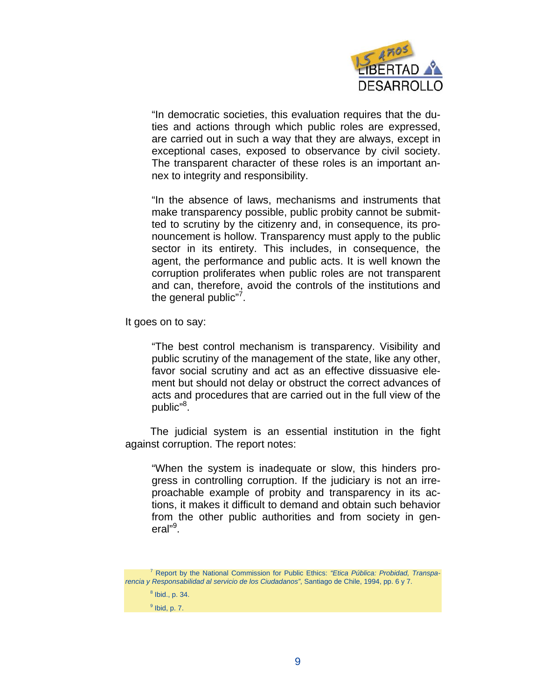

"In democratic societies, this evaluation requires that the duties and actions through which public roles are expressed, are carried out in such a way that they are always, except in exceptional cases, exposed to observance by civil society. The transparent character of these roles is an important annex to integrity and responsibility.

"In the absence of laws, mechanisms and instruments that make transparency possible, public probity cannot be submitted to scrutiny by the citizenry and, in consequence, its pronouncement is hollow. Transparency must apply to the public sector in its entirety. This includes, in consequence, the agent, the performance and public acts. It is well known the corruption proliferates when public roles are not transparent and can, therefore, avoid the controls of the institutions and the general public"<sup>7</sup>.

It goes on to say:

"The best control mechanism is transparency. Visibility and public scrutiny of the management of the state, like any other, favor social scrutiny and act as an effective dissuasive element but should not delay or obstruct the correct advances of acts and procedures that are carried out in the full view of the public"<sup>8</sup>.

The judicial system is an essential institution in the fight against corruption. The report notes:

"When the system is inadequate or slow, this hinders progress in controlling corruption. If the judiciary is not an irreproachable example of probity and transparency in its actions, it makes it difficult to demand and obtain such behavior from the other public authorities and from society in general"<sup>9</sup>.

<sup>7</sup> Report by the National Commission for Public Ethics: *"Etica Pública: Probidad, Transparencia y Responsabilidad al servicio de los Ciudadanos"*, Santiago de Chile, 1994, pp. 6 y 7.

 $<sup>8</sup>$  Ibid., p. 34.</sup>

 $<sup>9</sup>$  Ibid, p. 7.</sup>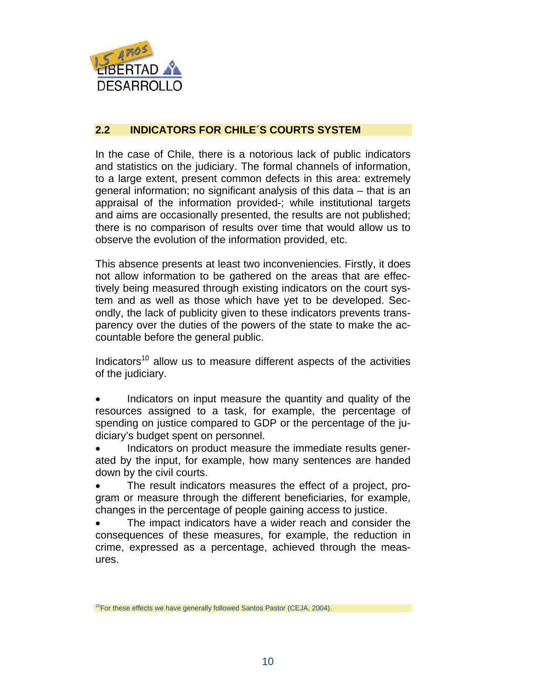

#### **2.2 INDICATORS FOR CHILE´S COURTS SYSTEM**

In the case of Chile, there is a notorious lack of public indicators and statistics on the judiciary. The formal channels of information, to a large extent, present common defects in this area: extremely general information; no significant analysis of this data – that is an appraisal of the information provided-; while institutional targets and aims are occasionally presented, the results are not published; there is no comparison of results over time that would allow us to observe the evolution of the information provided, etc.

This absence presents at least two inconveniencies. Firstly, it does not allow information to be gathered on the areas that are effectively being measured through existing indicators on the court system and as well as those which have yet to be developed. Secondly, the lack of publicity given to these indicators prevents transparency over the duties of the powers of the state to make the accountable before the general public.

Indicators<sup>10</sup> allow us to measure different aspects of the activities of the judiciary.

Indicators on input measure the quantity and quality of the resources assigned to a task, for example, the percentage of spending on justice compared to GDP or the percentage of the judiciary's budget spent on personnel.

Indicators on product measure the immediate results generated by the input, for example, how many sentences are handed down by the civil courts.

The result indicators measures the effect of a project, program or measure through the different beneficiaries, for example, changes in the percentage of people gaining access to justice.

The impact indicators have a wider reach and consider the consequences of these measures, for example, the reduction in crime, expressed as a percentage, achieved through the measures.

<sup>&</sup>lt;sup>10</sup>For these effects we have generally followed Santos Pastor (CEJA, 2004).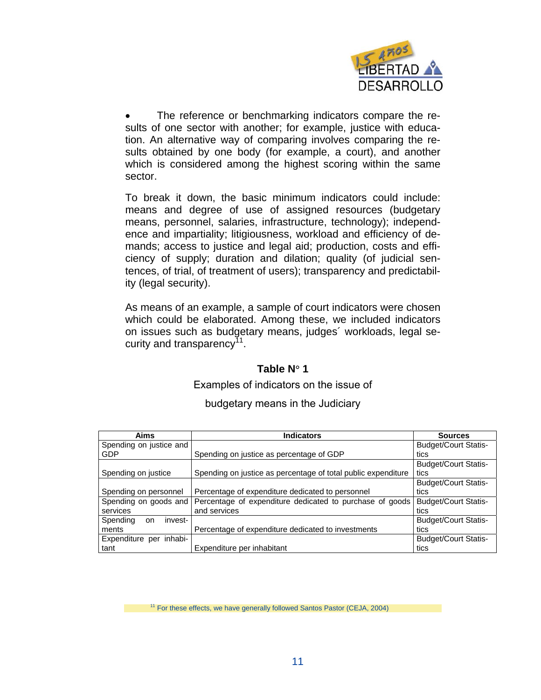

The reference or benchmarking indicators compare the results of one sector with another; for example, justice with education. An alternative way of comparing involves comparing the results obtained by one body (for example, a court), and another which is considered among the highest scoring within the same sector.

To break it down, the basic minimum indicators could include: means and degree of use of assigned resources (budgetary means, personnel, salaries, infrastructure, technology); independence and impartiality; litigiousness, workload and efficiency of demands; access to justice and legal aid; production, costs and efficiency of supply; duration and dilation; quality (of judicial sentences, of trial, of treatment of users); transparency and predictability (legal security).

As means of an example, a sample of court indicators were chosen which could be elaborated. Among these, we included indicators on issues such as budgetary means, judges´ workloads, legal security and transparency<sup>11</sup>.

#### **Table N**° **1**

#### Examples of indicators on the issue of

| Aims                             | <b>Indicators</b>                                             | <b>Sources</b>              |
|----------------------------------|---------------------------------------------------------------|-----------------------------|
| Spending on justice and          |                                                               | <b>Budget/Court Statis-</b> |
| GDP                              | Spending on justice as percentage of GDP                      | tics                        |
|                                  |                                                               | <b>Budget/Court Statis-</b> |
| Spending on justice              | Spending on justice as percentage of total public expenditure | tics                        |
|                                  |                                                               | <b>Budget/Court Statis-</b> |
| Spending on personnel            | Percentage of expenditure dedicated to personnel              | tics                        |
| Spending on goods and            | Percentage of expenditure dedicated to purchase of goods      | <b>Budget/Court Statis-</b> |
| services                         | and services                                                  | tics                        |
| Spending<br>invest-<br><b>on</b> |                                                               | <b>Budget/Court Statis-</b> |
| ments                            | Percentage of expenditure dedicated to investments            | tics                        |
| Expenditure per inhabi-          |                                                               | <b>Budget/Court Statis-</b> |
| tant                             | Expenditure per inhabitant                                    | tics                        |

#### budgetary means in the Judiciary

<sup>11</sup> For these effects, we have generally followed Santos Pastor (CEJA, 2004)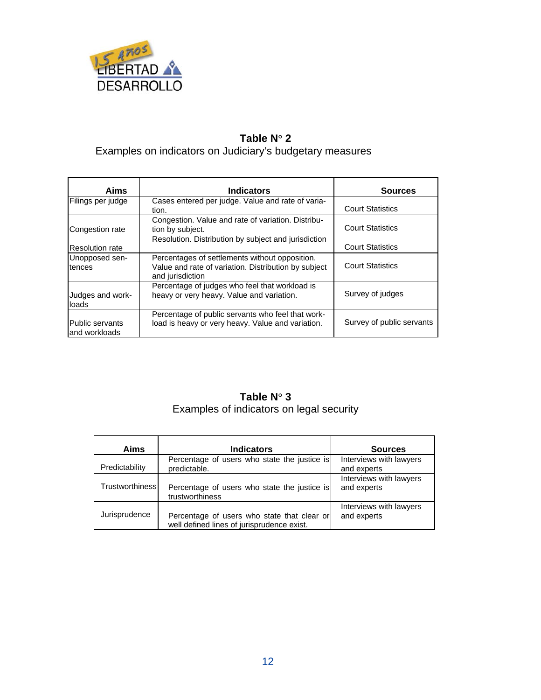

# **Table N**° **2**  Examples on indicators on Judiciary's budgetary measures

| <b>Aims</b>                      | <b>Indicators</b>                                                                                                          | <b>Sources</b>            |
|----------------------------------|----------------------------------------------------------------------------------------------------------------------------|---------------------------|
| Filings per judge                | Cases entered per judge. Value and rate of varia-<br>tion.                                                                 | <b>Court Statistics</b>   |
| Congestion rate                  | Congestion. Value and rate of variation. Distribu-<br>tion by subject.                                                     | <b>Court Statistics</b>   |
| <b>Resolution rate</b>           | Resolution. Distribution by subject and jurisdiction                                                                       | <b>Court Statistics</b>   |
| Unopposed sen-<br>tences         | Percentages of settlements without opposition.<br>Value and rate of variation. Distribution by subject<br>and jurisdiction | <b>Court Statistics</b>   |
| Judges and work-<br>loads        | Percentage of judges who feel that workload is<br>heavy or very heavy. Value and variation.                                | Survey of judges          |
| Public servants<br>and workloads | Percentage of public servants who feel that work-<br>load is heavy or very heavy. Value and variation.                     | Survey of public servants |

# **Table N**° **3**  Examples of indicators on legal security

| Aims                   | <b>Indicators</b>                                                                         | <b>Sources</b>                         |
|------------------------|-------------------------------------------------------------------------------------------|----------------------------------------|
| Predictability         | Percentage of users who state the justice is<br>predictable.                              | Interviews with lawyers<br>and experts |
| <b>Trustworthiness</b> | Percentage of users who state the justice is<br>trustworthiness                           | Interviews with lawyers<br>and experts |
| Jurisprudence          | Percentage of users who state that clear or<br>well defined lines of jurisprudence exist. | Interviews with lawyers<br>and experts |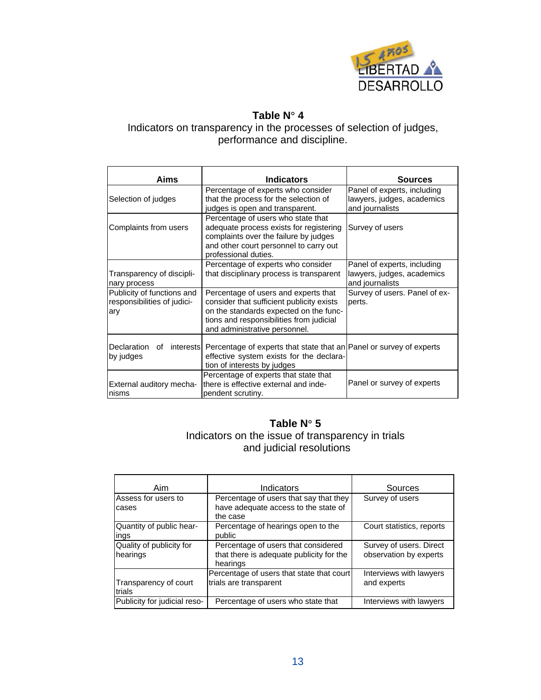

## **Table N**° **4**

Indicators on transparency in the processes of selection of judges, performance and discipline.

| Aims                                                             | <b>Indicators</b>                                                                                                                                                                                        | <b>Sources</b>                                                               |  |
|------------------------------------------------------------------|----------------------------------------------------------------------------------------------------------------------------------------------------------------------------------------------------------|------------------------------------------------------------------------------|--|
| Selection of judges                                              | Percentage of experts who consider<br>that the process for the selection of<br>judges is open and transparent.                                                                                           | Panel of experts, including<br>lawyers, judges, academics<br>and journalists |  |
| Complaints from users                                            | Percentage of users who state that<br>adequate process exists for registering<br>complaints over the failure by judges<br>and other court personnel to carry out<br>professional duties.                 | Survey of users                                                              |  |
| Transparency of discipli-<br>nary process                        | Percentage of experts who consider<br>that disciplinary process is transparent                                                                                                                           | Panel of experts, including<br>lawyers, judges, academics<br>and journalists |  |
| Publicity of functions and<br>responsibilities of judici-<br>ary | Percentage of users and experts that<br>consider that sufficient publicity exists<br>on the standards expected on the func-<br>tions and responsibilities from judicial<br>and administrative personnel. | Survey of users. Panel of ex-<br>perts.                                      |  |
| by judges                                                        | Declaration of interests   Percentage of experts that state that an   Panel or survey of experts<br>effective system exists for the declara-<br>tion of interests by judges                              |                                                                              |  |
| External auditory mecha-<br>Inisms                               | Percentage of experts that state that<br>there is effective external and inde-<br>pendent scrutiny.                                                                                                      | Panel or survey of experts                                                   |  |

#### **Table N**° **5**

Indicators on the issue of transparency in trials and judicial resolutions

| Aim                                  | Indicators                                                                                  | Sources                                           |
|--------------------------------------|---------------------------------------------------------------------------------------------|---------------------------------------------------|
| Assess for users to<br>cases         | Percentage of users that say that they<br>have adequate access to the state of<br>the case  | Survey of users                                   |
| Quantity of public hear-<br>ings     | Percentage of hearings open to the<br>public                                                | Court statistics, reports                         |
| Quality of publicity for<br>hearings | Percentage of users that considered<br>that there is adequate publicity for the<br>hearings | Survey of users. Direct<br>observation by experts |
| Transparency of court<br>trials      | Percentage of users that state that court<br>trials are transparent                         | Interviews with lawyers<br>and experts            |
| Publicity for judicial reso-         | Percentage of users who state that                                                          | Interviews with lawyers                           |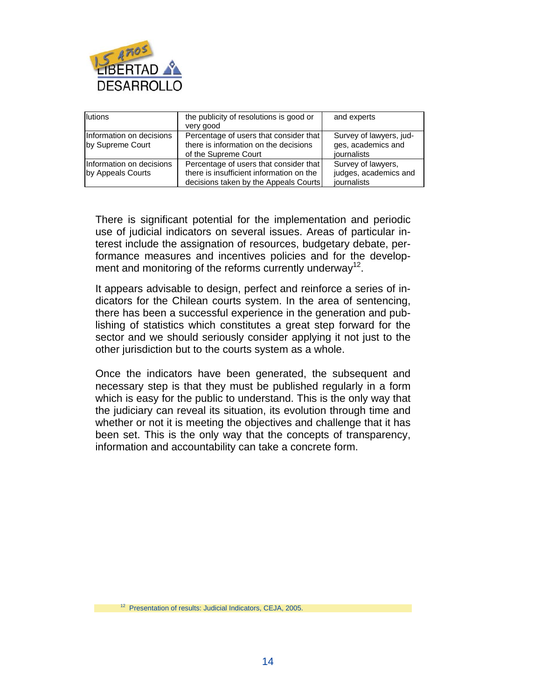

| lutions                                       | the publicity of resolutions is good or<br>very good                                                                        | and experts                                                  |
|-----------------------------------------------|-----------------------------------------------------------------------------------------------------------------------------|--------------------------------------------------------------|
| Information on decisions<br>by Supreme Court  | Percentage of users that consider that<br>there is information on the decisions<br>of the Supreme Court                     | Survey of lawyers, jud-<br>ges, academics and<br>iournalists |
| Information on decisions<br>by Appeals Courts | Percentage of users that consider that<br>there is insufficient information on the<br>decisions taken by the Appeals Courts | Survey of lawyers,<br>judges, academics and<br>journalists   |

There is significant potential for the implementation and periodic use of judicial indicators on several issues. Areas of particular interest include the assignation of resources, budgetary debate, performance measures and incentives policies and for the development and monitoring of the reforms currently underway<sup>12</sup>.

It appears advisable to design, perfect and reinforce a series of indicators for the Chilean courts system. In the area of sentencing, there has been a successful experience in the generation and publishing of statistics which constitutes a great step forward for the sector and we should seriously consider applying it not just to the other jurisdiction but to the courts system as a whole.

Once the indicators have been generated, the subsequent and necessary step is that they must be published regularly in a form which is easy for the public to understand. This is the only way that the judiciary can reveal its situation, its evolution through time and whether or not it is meeting the objectives and challenge that it has been set. This is the only way that the concepts of transparency, information and accountability can take a concrete form.

12 Presentation of results: Judicial Indicators, CEJA, 2005.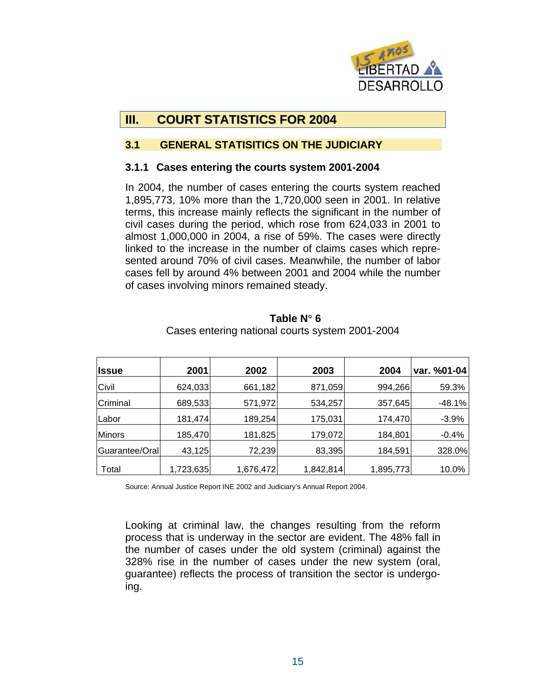

# **III. COURT STATISTICS FOR 2004**

#### **3.1 GENERAL STATISITICS ON THE JUDICIARY**

#### **3.1.1 Cases entering the courts system 2001-2004**

In 2004, the number of cases entering the courts system reached 1,895,773, 10% more than the 1,720,000 seen in 2001. In relative terms, this increase mainly reflects the significant in the number of civil cases during the period, which rose from 624,033 in 2001 to almost 1,000,000 in 2004, a rise of 59%. The cases were directly linked to the increase in the number of claims cases which represented around 70% of civil cases. Meanwhile, the number of labor cases fell by around 4% between 2001 and 2004 while the number of cases involving minors remained steady.

| <b>Ilssue</b>  | 2001      | 2002      | 2003      | 2004      | var. %01-04 |
|----------------|-----------|-----------|-----------|-----------|-------------|
| Civil          | 624,033   | 661,182   | 871,059   | 994,266   | 59.3%       |
| Criminal       | 689,533   | 571,972   | 534,257   | 357,645   | $-48.1%$    |
| Labor          | 181,474   | 189,254   | 175,031   | 174,470   | $-3.9%$     |
| <b>Minors</b>  | 185,470   | 181,825   | 179,072   | 184,801   | $-0.4%$     |
| Guarantee/Oral | 43,125    | 72,239    | 83,395    | 184,591   | 328.0%      |
| Total          | 1,723,635 | 1,676,472 | 1,842,814 | 1,895,773 | 10.0%       |

**Table N**° **6**  Cases entering national courts system 2001-2004

Source: Annual Justice Report INE 2002 and Judiciary's Annual Report 2004.

Looking at criminal law, the changes resulting from the reform process that is underway in the sector are evident. The 48% fall in the number of cases under the old system (criminal) against the 328% rise in the number of cases under the new system (oral, guarantee) reflects the process of transition the sector is undergoing.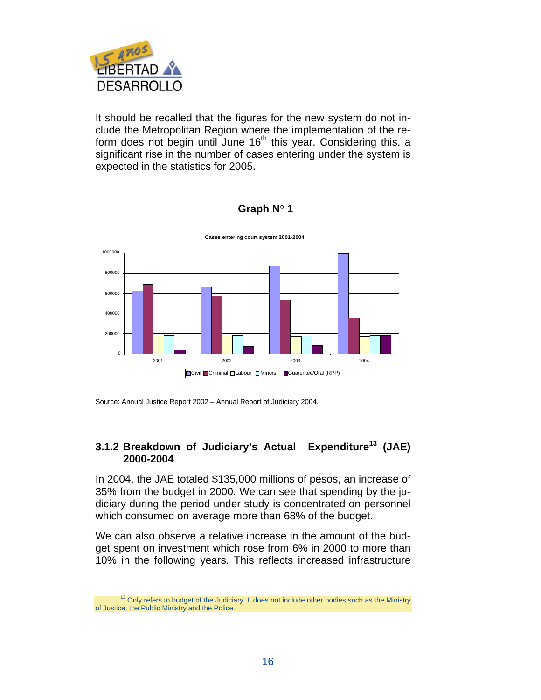

It should be recalled that the figures for the new system do not include the Metropolitan Region where the implementation of the reform does not begin until June  $16<sup>th</sup>$  this year. Considering this, a significant rise in the number of cases entering under the system is expected in the statistics for 2005.



#### **Graph N**° **1**

#### **3.1.2 Breakdown of Judiciary's Actual Expenditure13 (JAE) 2000-2004**

In 2004, the JAE totaled \$135,000 millions of pesos, an increase of 35% from the budget in 2000. We can see that spending by the judiciary during the period under study is concentrated on personnel which consumed on average more than 68% of the budget.

We can also observe a relative increase in the amount of the budget spent on investment which rose from 6% in 2000 to more than 10% in the following years. This reflects increased infrastructure

Source: Annual Justice Report 2002 – Annual Report of Judiciary 2004.

<sup>&</sup>lt;sup>13</sup> Only refers to budget of the Judiciary. It does not include other bodies such as the Ministry of Justice, the Public Ministry and the Police.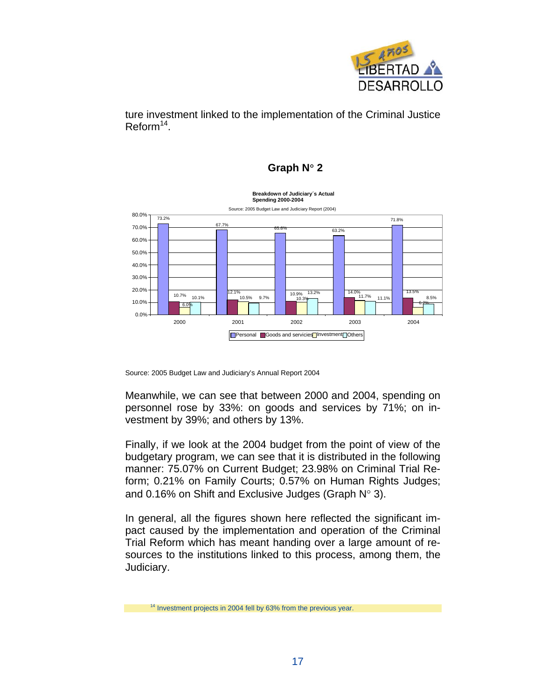

ture investment linked to the implementation of the Criminal Justice  $Reform<sup>14</sup>$ .

#### **Graph N**° **2**



Source: 2005 Budget Law and Judiciary's Annual Report 2004

Meanwhile, we can see that between 2000 and 2004, spending on personnel rose by 33%: on goods and services by 71%; on investment by 39%; and others by 13%.

Finally, if we look at the 2004 budget from the point of view of the budgetary program, we can see that it is distributed in the following manner: 75.07% on Current Budget; 23.98% on Criminal Trial Reform; 0.21% on Family Courts; 0.57% on Human Rights Judges; and 0.16% on Shift and Exclusive Judges (Graph N° 3).

In general, all the figures shown here reflected the significant impact caused by the implementation and operation of the Criminal Trial Reform which has meant handing over a large amount of resources to the institutions linked to this process, among them, the Judiciary.

<sup>&</sup>lt;sup>14</sup> Investment projects in 2004 fell by 63% from the previous year.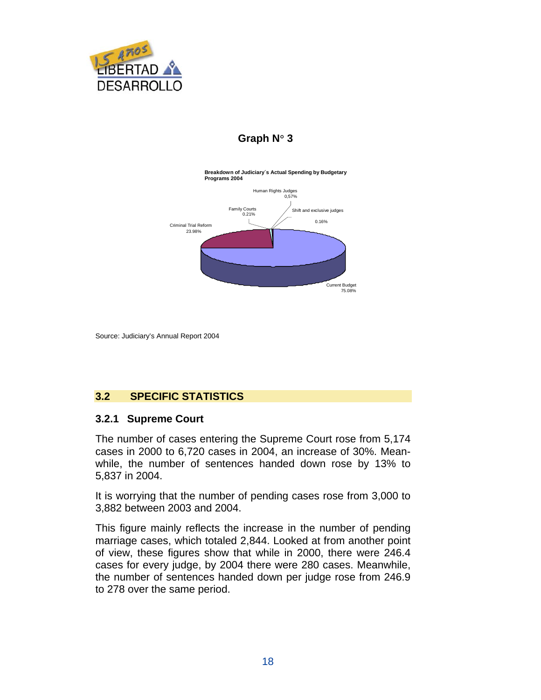

# **Graph N**° **3**



Source: Judiciary's Annual Report 2004

#### **3.2 SPECIFIC STATISTICS**

#### **3.2.1 Supreme Court**

The number of cases entering the Supreme Court rose from 5,174 cases in 2000 to 6,720 cases in 2004, an increase of 30%. Meanwhile, the number of sentences handed down rose by 13% to 5,837 in 2004.

It is worrying that the number of pending cases rose from 3,000 to 3,882 between 2003 and 2004.

This figure mainly reflects the increase in the number of pending marriage cases, which totaled 2,844. Looked at from another point of view, these figures show that while in 2000, there were 246.4 cases for every judge, by 2004 there were 280 cases. Meanwhile, the number of sentences handed down per judge rose from 246.9 to 278 over the same period.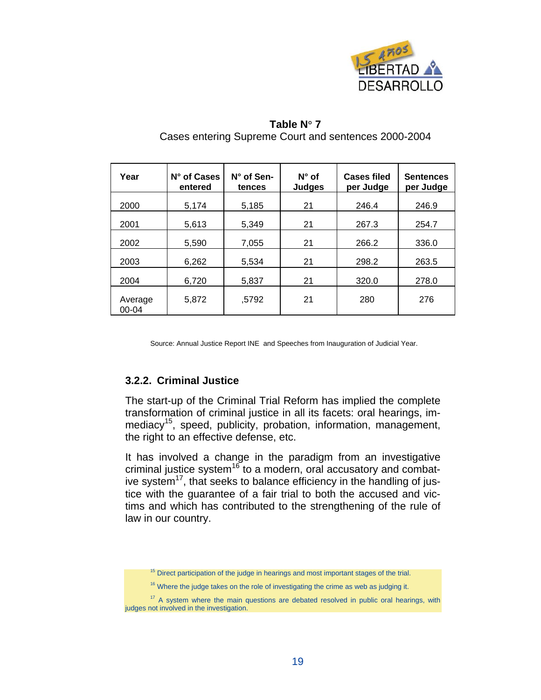

| Year                 | N° of Cases<br>entered | $N^{\circ}$ of Sen-<br>tences | $N^{\circ}$ of<br><b>Judges</b> | <b>Cases filed</b><br>per Judge | <b>Sentences</b><br>per Judge |
|----------------------|------------------------|-------------------------------|---------------------------------|---------------------------------|-------------------------------|
| 2000                 | 5,174                  | 5,185                         | 21                              | 246.4                           | 246.9                         |
| 2001                 | 5,613                  | 5,349                         | 21                              | 267.3                           | 254.7                         |
| 2002                 | 5,590                  | 7,055                         | 21                              | 266.2                           | 336.0                         |
| 2003                 | 6,262                  | 5,534                         | 21                              | 298.2                           | 263.5                         |
| 2004                 | 6,720                  | 5,837                         | 21                              | 320.0                           | 278.0                         |
| Average<br>$00 - 04$ | 5,872                  | ,5792                         | 21                              | 280                             | 276                           |

#### **Table N**° **7**  Cases entering Supreme Court and sentences 2000-2004

Source: Annual Justice Report INE and Speeches from Inauguration of Judicial Year.

#### **3.2.2. Criminal Justice**

The start-up of the Criminal Trial Reform has implied the complete transformation of criminal justice in all its facets: oral hearings, immediacy<sup>15</sup>, speed, publicity, probation, information, management, the right to an effective defense, etc.

It has involved a change in the paradigm from an investigative criminal justice system<sup>16</sup> to a modern, oral accusatory and combative system $17$ , that seeks to balance efficiency in the handling of justice with the guarantee of a fair trial to both the accused and victims and which has contributed to the strengthening of the rule of law in our country.

 $15$  Direct participation of the judge in hearings and most important stages of the trial.

<sup>&</sup>lt;sup>16</sup> Where the judge takes on the role of investigating the crime as web as judging it.

<sup>&</sup>lt;sup>17</sup> A system where the main questions are debated resolved in public oral hearings, with judges not involved in the investigation.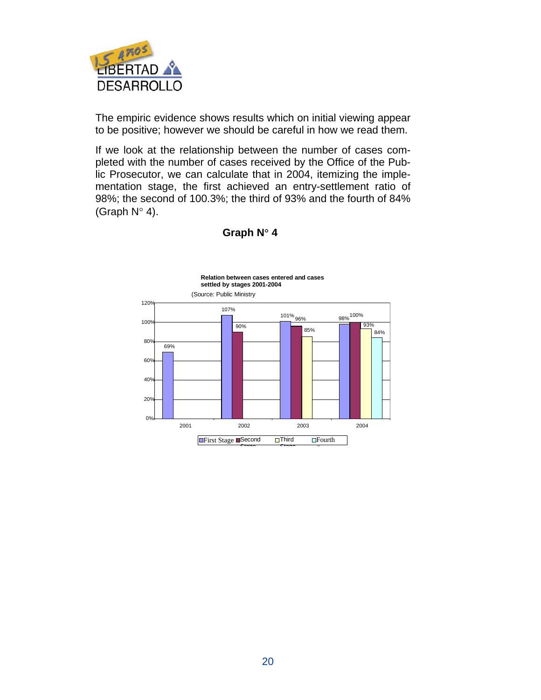

The empiric evidence shows results which on initial viewing appear to be positive; however we should be careful in how we read them.

If we look at the relationship between the number of cases completed with the number of cases received by the Office of the Public Prosecutor, we can calculate that in 2004, itemizing the implementation stage, the first achieved an entry-settlement ratio of 98%; the second of 100.3%; the third of 93% and the fourth of 84% (Graph  $N^{\circ}$  4).



**Graph N**° **4**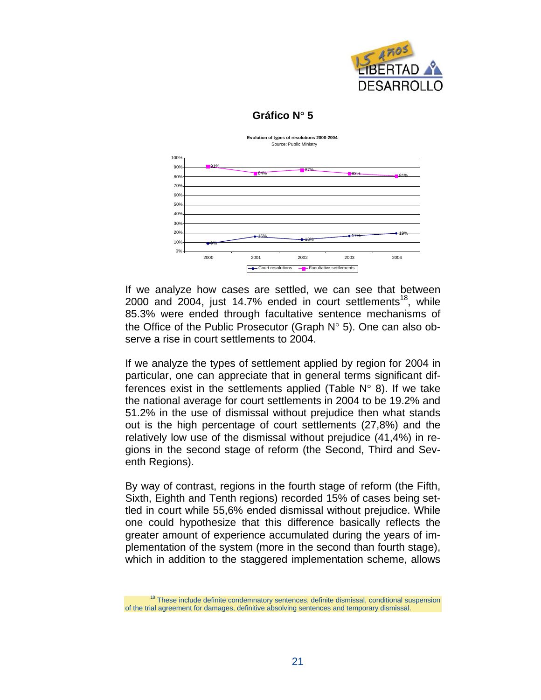

# **Gráfico N**° **5**

**Evolution of types of resolutions 2000-2004** Source: Public Ministry



If we analyze how cases are settled, we can see that between 2000 and 2004, just 14.7% ended in court settlements<sup>18</sup>, while 85.3% were ended through facultative sentence mechanisms of the Office of the Public Prosecutor (Graph N° 5). One can also observe a rise in court settlements to 2004.

If we analyze the types of settlement applied by region for 2004 in particular, one can appreciate that in general terms significant differences exist in the settlements applied (Table  $N^{\circ}$  8). If we take the national average for court settlements in 2004 to be 19.2% and 51.2% in the use of dismissal without prejudice then what stands out is the high percentage of court settlements (27,8%) and the relatively low use of the dismissal without prejudice (41,4%) in regions in the second stage of reform (the Second, Third and Seventh Regions).

By way of contrast, regions in the fourth stage of reform (the Fifth, Sixth, Eighth and Tenth regions) recorded 15% of cases being settled in court while 55,6% ended dismissal without prejudice. While one could hypothesize that this difference basically reflects the greater amount of experience accumulated during the years of implementation of the system (more in the second than fourth stage), which in addition to the staggered implementation scheme, allows

<sup>&</sup>lt;sup>18</sup> These include definite condemnatory sentences, definite dismissal, conditional suspension of the trial agreement for damages, definitive absolving sentences and temporary dismissal.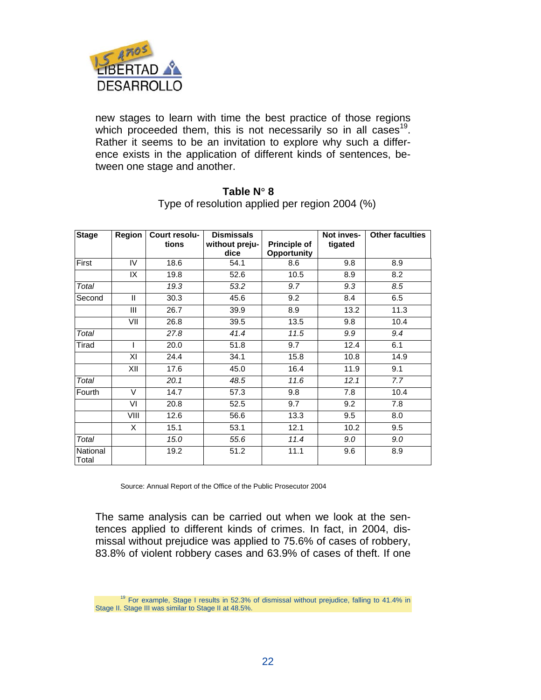

new stages to learn with time the best practice of those regions which proceeded them, this is not necessarily so in all cases<sup>19</sup>. Rather it seems to be an invitation to explore why such a difference exists in the application of different kinds of sentences, between one stage and another.

| <b>Stage</b>      | <b>Region</b> | Court resolu- | <b>Dismissals</b>      |                                    | Not inves- | <b>Other faculties</b> |
|-------------------|---------------|---------------|------------------------|------------------------------------|------------|------------------------|
|                   |               | tions         | without preju-<br>dice | <b>Principle of</b><br>Opportunity | tigated    |                        |
| First             | IV            | 18.6          | 54.1                   | 8.6                                | 9.8        | 8.9                    |
|                   | IX            | 19.8          | 52.6                   | 10.5                               | 8.9        | 8.2                    |
| Total             |               | 19.3          | 53.2                   | 9.7                                | 9.3        | 8.5                    |
| Second            | $\mathbf{I}$  | 30.3          | 45.6                   | 9.2                                | 8.4        | 6.5                    |
|                   | Ш             | 26.7          | 39.9                   | 8.9                                | 13.2       | 11.3                   |
|                   | VII           | 26.8          | 39.5                   | 13.5                               | 9.8        | 10.4                   |
| Total             |               | 27.8          | 41.4                   | 11.5                               | 9.9        | 9.4                    |
| Tirad             | $\mathsf{I}$  | 20.0          | 51.8                   | 9.7                                | 12.4       | 6.1                    |
|                   | ΧI            | 24.4          | 34.1                   | 15.8                               | 10.8       | 14.9                   |
|                   | XII           | 17.6          | 45.0                   | 16.4                               | 11.9       | 9.1                    |
| Total             |               | 20.1          | 48.5                   | 11.6                               | 12.1       | 7.7                    |
| Fourth            | $\vee$        | 14.7          | 57.3                   | 9.8                                | 7.8        | 10.4                   |
|                   | VI            | 20.8          | 52.5                   | 9.7                                | 9.2        | 7.8                    |
|                   | VIII          | 12.6          | 56.6                   | 13.3                               | 9.5        | 8.0                    |
|                   | X             | 15.1          | 53.1                   | 12.1                               | 10.2       | 9.5                    |
| Total             |               | 15.0          | 55.6                   | 11.4                               | 9.0        | 9.0                    |
| National<br>Total |               | 19.2          | 51.2                   | 11.1                               | 9.6        | 8.9                    |

**Table N**° **8**  Type of resolution applied per region 2004 (%)

Source: Annual Report of the Office of the Public Prosecutor 2004

The same analysis can be carried out when we look at the sentences applied to different kinds of crimes. In fact, in 2004, dismissal without prejudice was applied to 75.6% of cases of robbery, 83.8% of violent robbery cases and 63.9% of cases of theft. If one

<sup>&</sup>lt;sup>19</sup> For example, Stage I results in 52.3% of dismissal without prejudice, falling to 41.4% in Stage II. Stage III was similar to Stage II at 48.5%.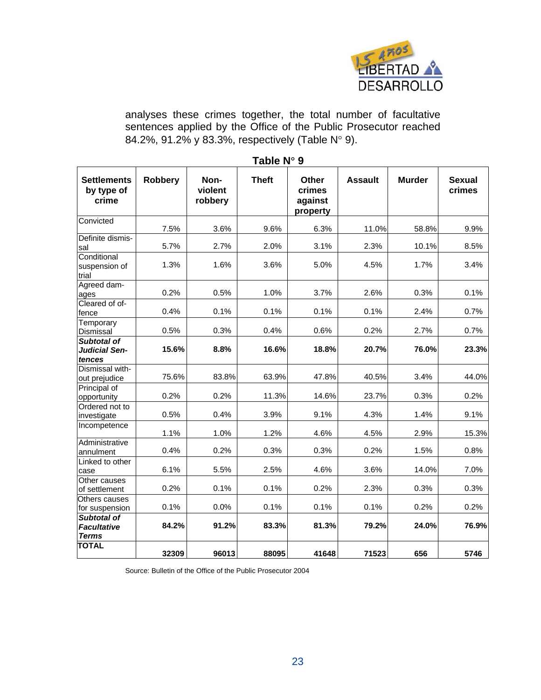

analyses these crimes together, the total number of facultative sentences applied by the Office of the Public Prosecutor reached 84.2%, 91.2% y 83.3%, respectively (Table N° 9).

| Table N° 9                                               |         |                            |              |                                        |                |               |                         |
|----------------------------------------------------------|---------|----------------------------|--------------|----------------------------------------|----------------|---------------|-------------------------|
| <b>Settlements</b><br>by type of<br>crime                | Robbery | Non-<br>violent<br>robbery | <b>Theft</b> | Other<br>crimes<br>against<br>property | <b>Assault</b> | <b>Murder</b> | <b>Sexual</b><br>crimes |
| Convicted                                                | 7.5%    | 3.6%                       | 9.6%         | 6.3%                                   | 11.0%          | 58.8%         | 9.9%                    |
| Definite dismis-<br>sal                                  | 5.7%    | 2.7%                       | 2.0%         | 3.1%                                   | 2.3%           | 10.1%         | 8.5%                    |
| Conditional<br>suspension of<br>trial                    | 1.3%    | 1.6%                       | 3.6%         | 5.0%                                   | 4.5%           | 1.7%          | 3.4%                    |
| Agreed dam-<br>ages                                      | 0.2%    | 0.5%                       | 1.0%         | 3.7%                                   | 2.6%           | 0.3%          | 0.1%                    |
| Cleared of of-<br>fence                                  | 0.4%    | 0.1%                       | 0.1%         | 0.1%                                   | 0.1%           | 2.4%          | 0.7%                    |
| Temporary<br>Dismissal                                   | 0.5%    | 0.3%                       | 0.4%         | 0.6%                                   | 0.2%           | 2.7%          | 0.7%                    |
| <b>Subtotal of</b><br><b>Judicial Sen-</b><br>tences     | 15.6%   | 8.8%                       | 16.6%        | 18.8%                                  | 20.7%          | 76.0%         | 23.3%                   |
| Dismissal with-<br>out prejudice                         | 75.6%   | 83.8%                      | 63.9%        | 47.8%                                  | 40.5%          | 3.4%          | 44.0%                   |
| Principal of<br>opportunity                              | 0.2%    | 0.2%                       | 11.3%        | 14.6%                                  | 23.7%          | 0.3%          | 0.2%                    |
| Ordered not to<br>investigate                            | 0.5%    | 0.4%                       | 3.9%         | 9.1%                                   | 4.3%           | 1.4%          | 9.1%                    |
| Incompetence                                             | 1.1%    | 1.0%                       | 1.2%         | 4.6%                                   | 4.5%           | 2.9%          | 15.3%                   |
| Administrative<br>annulment                              | 0.4%    | 0.2%                       | 0.3%         | 0.3%                                   | 0.2%           | 1.5%          | 0.8%                    |
| Linked to other<br>case                                  | 6.1%    | 5.5%                       | 2.5%         | 4.6%                                   | 3.6%           | 14.0%         | 7.0%                    |
| Other causes<br>of settlement                            | 0.2%    | 0.1%                       | 0.1%         | 0.2%                                   | 2.3%           | 0.3%          | 0.3%                    |
| Others causes<br>for suspension                          | 0.1%    | 0.0%                       | 0.1%         | 0.1%                                   | 0.1%           | 0.2%          | 0.2%                    |
| <b>Subtotal of</b><br><b>Facultative</b><br><b>Terms</b> | 84.2%   | 91.2%                      | 83.3%        | 81.3%                                  | 79.2%          | 24.0%         | 76.9%                   |
| <b>TOTAL</b>                                             | 32309   | 96013                      | 88095        | 41648                                  | 71523          | 656           | 5746                    |

Source: Bulletin of the Office of the Public Prosecutor 2004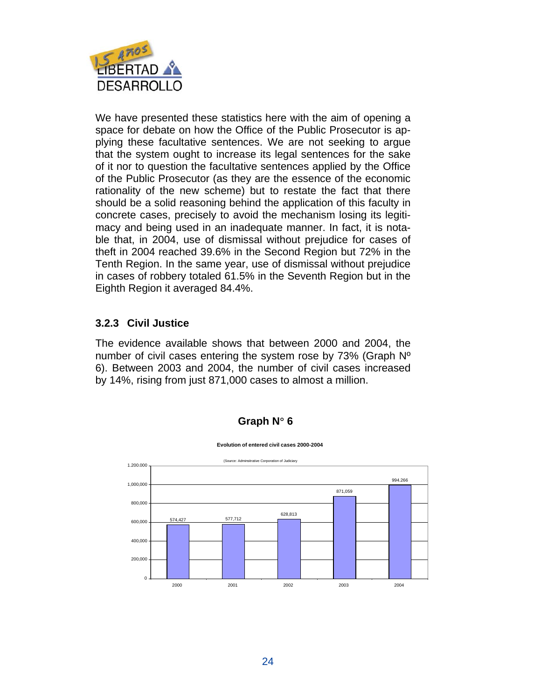

We have presented these statistics here with the aim of opening a space for debate on how the Office of the Public Prosecutor is applying these facultative sentences. We are not seeking to argue that the system ought to increase its legal sentences for the sake of it nor to question the facultative sentences applied by the Office of the Public Prosecutor (as they are the essence of the economic rationality of the new scheme) but to restate the fact that there should be a solid reasoning behind the application of this faculty in concrete cases, precisely to avoid the mechanism losing its legitimacy and being used in an inadequate manner. In fact, it is notable that, in 2004, use of dismissal without prejudice for cases of theft in 2004 reached 39.6% in the Second Region but 72% in the Tenth Region. In the same year, use of dismissal without prejudice in cases of robbery totaled 61.5% in the Seventh Region but in the Eighth Region it averaged 84.4%.

#### **3.2.3 Civil Justice**

The evidence available shows that between 2000 and 2004, the number of civil cases entering the system rose by 73% (Graph Nº 6). Between 2003 and 2004, the number of civil cases increased by 14%, rising from just 871,000 cases to almost a million.



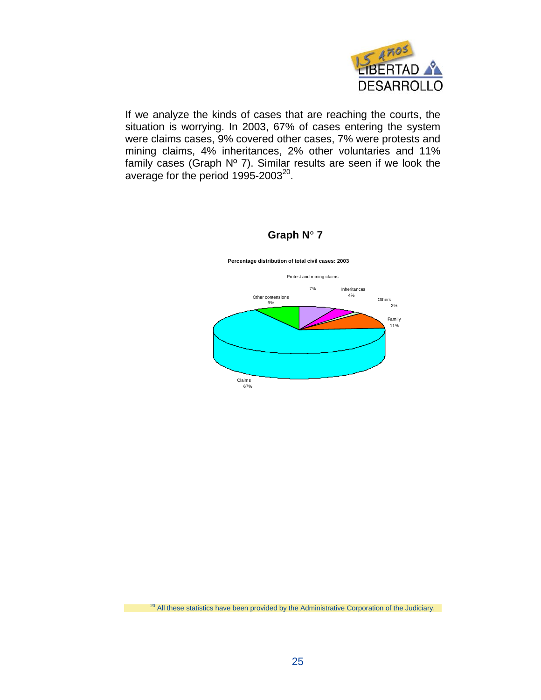

If we analyze the kinds of cases that are reaching the courts, the situation is worrying. In 2003, 67% of cases entering the system were claims cases, 9% covered other cases, 7% were protests and mining claims, 4% inheritances, 2% other voluntaries and 11% family cases (Graph Nº 7). Similar results are seen if we look the average for the period 1995-2003<sup>20</sup>.



#### **Graph N**° **7**

<sup>20</sup> All these statistics have been provided by the Administrative Corporation of the Judiciary.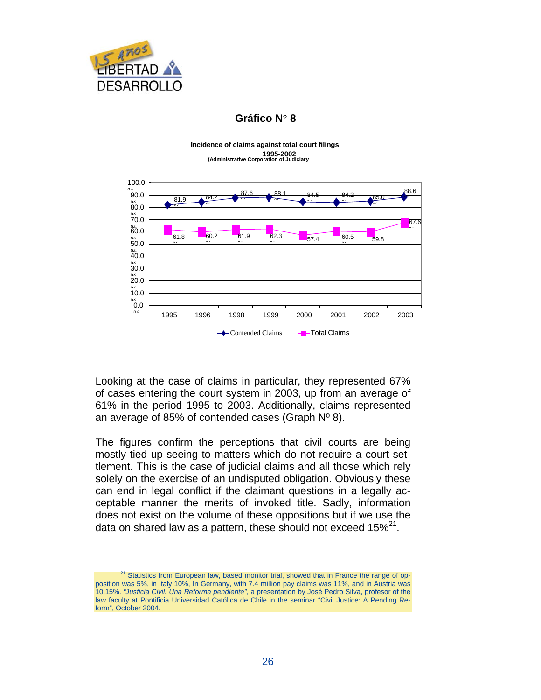

#### **Gráfico N**° **8**

**Incidence of claims against total court filings 1995-2002 (Administrative Corporation of Judiciary**



Looking at the case of claims in particular, they represented 67% of cases entering the court system in 2003, up from an average of 61% in the period 1995 to 2003. Additionally, claims represented an average of 85% of contended cases (Graph  $N^{\circ}$  8).

The figures confirm the perceptions that civil courts are being mostly tied up seeing to matters which do not require a court settlement. This is the case of judicial claims and all those which rely solely on the exercise of an undisputed obligation. Obviously these can end in legal conflict if the claimant questions in a legally acceptable manner the merits of invoked title. Sadly, information does not exist on the volume of these oppositions but if we use the data on shared law as a pattern, these should not exceed  $15\%^{21}$ .

 $21$  Statistics from European law, based monitor trial, showed that in France the range of opposition was 5%, in Italy 10%, In Germany, with 7.4 million pay claims was 11%, and in Austria was 10.15%. *"Justicia Civil: Una Reforma pendiente",* a presentation by José Pedro Silva, profesor of the law faculty at Pontificia Universidad Católica de Chile in the seminar "Civil Justice: A Pending Reform", October 2004.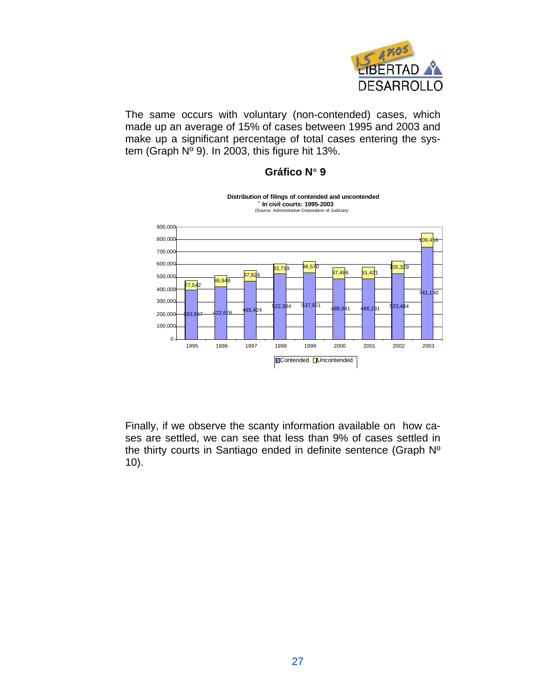

The same occurs with voluntary (non-contended) cases, which made up an average of 15% of cases between 1995 and 2003 and make up a significant percentage of total cases entering the system (Graph Nº 9). In 2003, this figure hit 13%.

#### **Gráfico N**° **9**



**Distribution of filings of contended and uncontended l ti In civil courts: 1995-2003** (Source: Adminstrative Corporation of Judiciary

Finally, if we observe the scanty information available on how cases are settled, we can see that less than 9% of cases settled in the thirty courts in Santiago ended in definite sentence (Graph Nº 10).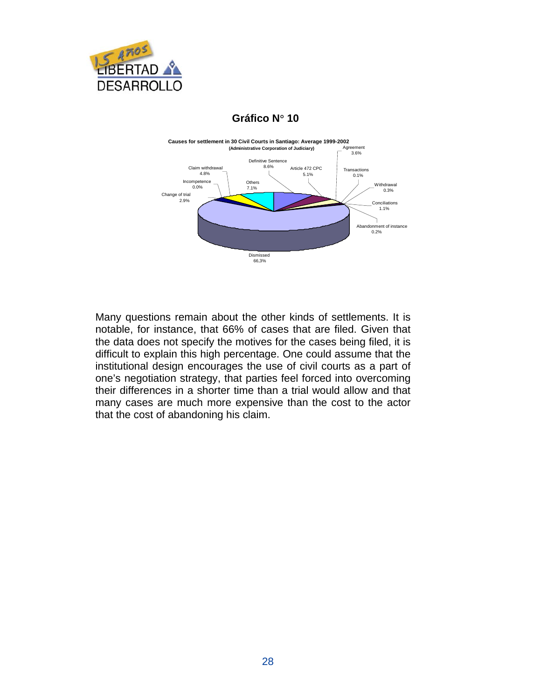

#### **Gráfico N**° **10**



Many questions remain about the other kinds of settlements. It is notable, for instance, that 66% of cases that are filed. Given that the data does not specify the motives for the cases being filed, it is difficult to explain this high percentage. One could assume that the institutional design encourages the use of civil courts as a part of one's negotiation strategy, that parties feel forced into overcoming their differences in a shorter time than a trial would allow and that many cases are much more expensive than the cost to the actor that the cost of abandoning his claim.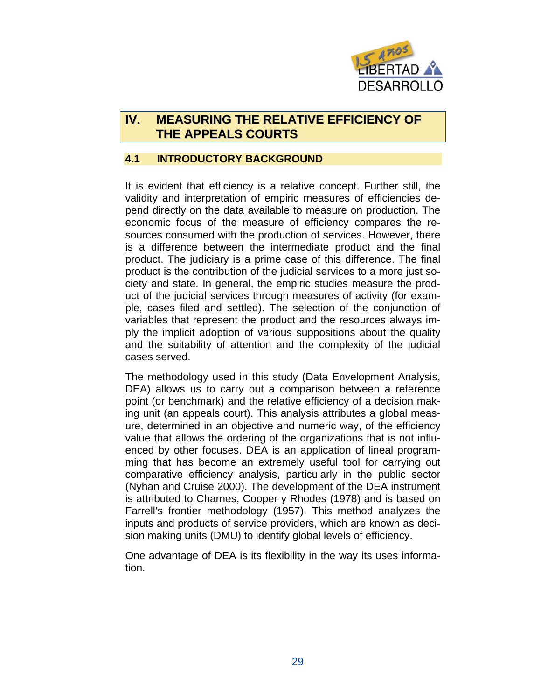

# **IV. MEASURING THE RELATIVE EFFICIENCY OF THE APPEALS COURTS**

#### **4.1 INTRODUCTORY BACKGROUND**

It is evident that efficiency is a relative concept. Further still, the validity and interpretation of empiric measures of efficiencies depend directly on the data available to measure on production. The economic focus of the measure of efficiency compares the resources consumed with the production of services. However, there is a difference between the intermediate product and the final product. The judiciary is a prime case of this difference. The final product is the contribution of the judicial services to a more just society and state. In general, the empiric studies measure the product of the judicial services through measures of activity (for example, cases filed and settled). The selection of the conjunction of variables that represent the product and the resources always imply the implicit adoption of various suppositions about the quality and the suitability of attention and the complexity of the judicial cases served.

The methodology used in this study (Data Envelopment Analysis, DEA) allows us to carry out a comparison between a reference point (or benchmark) and the relative efficiency of a decision making unit (an appeals court). This analysis attributes a global measure, determined in an objective and numeric way, of the efficiency value that allows the ordering of the organizations that is not influenced by other focuses. DEA is an application of lineal programming that has become an extremely useful tool for carrying out comparative efficiency analysis, particularly in the public sector (Nyhan and Cruise 2000). The development of the DEA instrument is attributed to Charnes, Cooper y Rhodes (1978) and is based on Farrell's frontier methodology (1957). This method analyzes the inputs and products of service providers, which are known as decision making units (DMU) to identify global levels of efficiency.

One advantage of DEA is its flexibility in the way its uses information.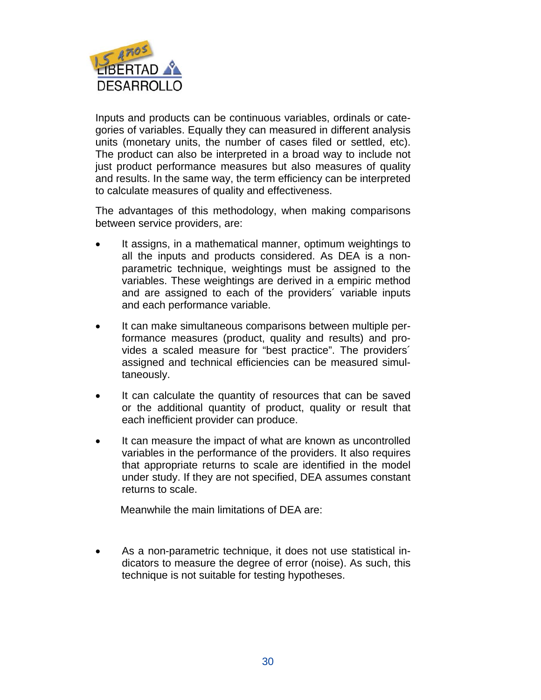

Inputs and products can be continuous variables, ordinals or categories of variables. Equally they can measured in different analysis units (monetary units, the number of cases filed or settled, etc). The product can also be interpreted in a broad way to include not just product performance measures but also measures of quality and results. In the same way, the term efficiency can be interpreted to calculate measures of quality and effectiveness.

The advantages of this methodology, when making comparisons between service providers, are:

- It assigns, in a mathematical manner, optimum weightings to all the inputs and products considered. As DEA is a nonparametric technique, weightings must be assigned to the variables. These weightings are derived in a empiric method and are assigned to each of the providers´ variable inputs and each performance variable.
- It can make simultaneous comparisons between multiple performance measures (product, quality and results) and provides a scaled measure for "best practice". The providers´ assigned and technical efficiencies can be measured simultaneously.
- It can calculate the quantity of resources that can be saved or the additional quantity of product, quality or result that each inefficient provider can produce.
- It can measure the impact of what are known as uncontrolled variables in the performance of the providers. It also requires that appropriate returns to scale are identified in the model under study. If they are not specified, DEA assumes constant returns to scale.

Meanwhile the main limitations of DEA are:

• As a non-parametric technique, it does not use statistical indicators to measure the degree of error (noise). As such, this technique is not suitable for testing hypotheses.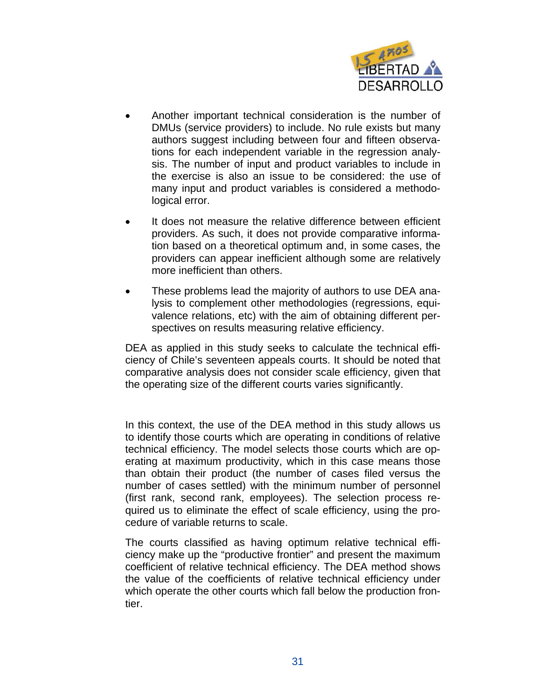

- Another important technical consideration is the number of DMUs (service providers) to include. No rule exists but many authors suggest including between four and fifteen observations for each independent variable in the regression analysis. The number of input and product variables to include in the exercise is also an issue to be considered: the use of many input and product variables is considered a methodological error.
- It does not measure the relative difference between efficient providers. As such, it does not provide comparative information based on a theoretical optimum and, in some cases, the providers can appear inefficient although some are relatively more inefficient than others.
- These problems lead the majority of authors to use DEA analysis to complement other methodologies (regressions, equivalence relations, etc) with the aim of obtaining different perspectives on results measuring relative efficiency.

DEA as applied in this study seeks to calculate the technical efficiency of Chile's seventeen appeals courts. It should be noted that comparative analysis does not consider scale efficiency, given that the operating size of the different courts varies significantly.

In this context, the use of the DEA method in this study allows us to identify those courts which are operating in conditions of relative technical efficiency. The model selects those courts which are operating at maximum productivity, which in this case means those than obtain their product (the number of cases filed versus the number of cases settled) with the minimum number of personnel (first rank, second rank, employees). The selection process required us to eliminate the effect of scale efficiency, using the procedure of variable returns to scale.

The courts classified as having optimum relative technical efficiency make up the "productive frontier" and present the maximum coefficient of relative technical efficiency. The DEA method shows the value of the coefficients of relative technical efficiency under which operate the other courts which fall below the production frontier.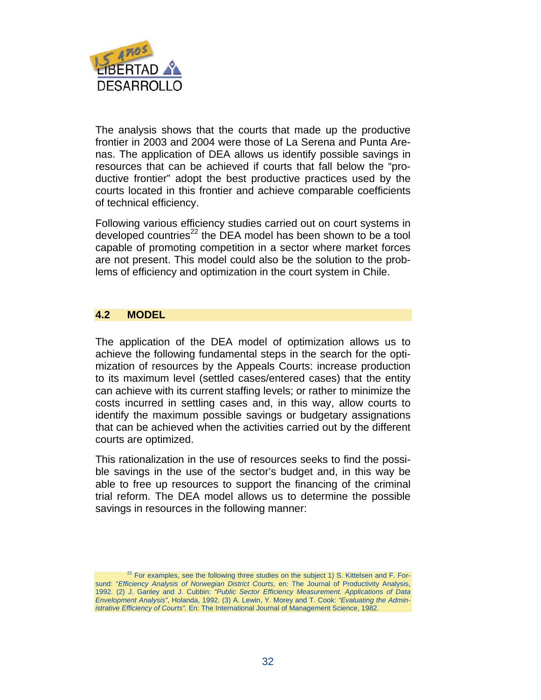

The analysis shows that the courts that made up the productive frontier in 2003 and 2004 were those of La Serena and Punta Arenas. The application of DEA allows us identify possible savings in resources that can be achieved if courts that fall below the "productive frontier" adopt the best productive practices used by the courts located in this frontier and achieve comparable coefficients of technical efficiency.

Following various efficiency studies carried out on court systems in developed countries $^{22}$  the DEA model has been shown to be a tool capable of promoting competition in a sector where market forces are not present. This model could also be the solution to the problems of efficiency and optimization in the court system in Chile.

#### **4.2 MODEL**

The application of the DEA model of optimization allows us to achieve the following fundamental steps in the search for the optimization of resources by the Appeals Courts: increase production to its maximum level (settled cases/entered cases) that the entity can achieve with its current staffing levels; or rather to minimize the costs incurred in settling cases and, in this way, allow courts to identify the maximum possible savings or budgetary assignations that can be achieved when the activities carried out by the different courts are optimized.

This rationalization in the use of resources seeks to find the possible savings in the use of the sector's budget and, in this way be able to free up resources to support the financing of the criminal trial reform. The DEA model allows us to determine the possible savings in resources in the following manner:

 $22$  For examples, see the following three studies on the subject 1) S. Kittelsen and F. Forsund: "*Efficiency Analysis of Norwegian District Courts,* en: The Journal of Productivity Analysis, 1992. (2) J. Ganley and J. Cubbin: *"Public Sector Efficiency Measurement. Applications of Data Envelopment Analysis"*, Holanda, 1992. (3) A. Lewin, Y. Morey and T. Cook: *"Evaluating the Administrative Efficiency of Courts".* En: The International Journal of Management Science, 1982.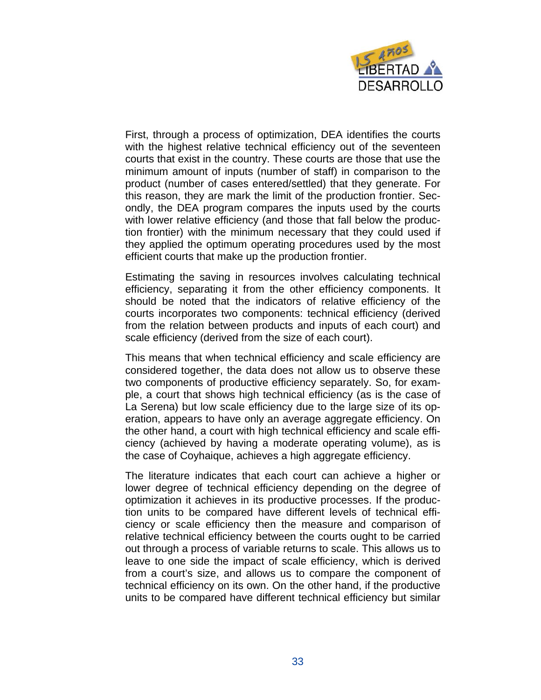

First, through a process of optimization, DEA identifies the courts with the highest relative technical efficiency out of the seventeen courts that exist in the country. These courts are those that use the minimum amount of inputs (number of staff) in comparison to the product (number of cases entered/settled) that they generate. For this reason, they are mark the limit of the production frontier. Secondly, the DEA program compares the inputs used by the courts with lower relative efficiency (and those that fall below the production frontier) with the minimum necessary that they could used if they applied the optimum operating procedures used by the most efficient courts that make up the production frontier.

Estimating the saving in resources involves calculating technical efficiency, separating it from the other efficiency components. It should be noted that the indicators of relative efficiency of the courts incorporates two components: technical efficiency (derived from the relation between products and inputs of each court) and scale efficiency (derived from the size of each court).

This means that when technical efficiency and scale efficiency are considered together, the data does not allow us to observe these two components of productive efficiency separately. So, for example, a court that shows high technical efficiency (as is the case of La Serena) but low scale efficiency due to the large size of its operation, appears to have only an average aggregate efficiency. On the other hand, a court with high technical efficiency and scale efficiency (achieved by having a moderate operating volume), as is the case of Coyhaique, achieves a high aggregate efficiency.

The literature indicates that each court can achieve a higher or lower degree of technical efficiency depending on the degree of optimization it achieves in its productive processes. If the production units to be compared have different levels of technical efficiency or scale efficiency then the measure and comparison of relative technical efficiency between the courts ought to be carried out through a process of variable returns to scale. This allows us to leave to one side the impact of scale efficiency, which is derived from a court's size, and allows us to compare the component of technical efficiency on its own. On the other hand, if the productive units to be compared have different technical efficiency but similar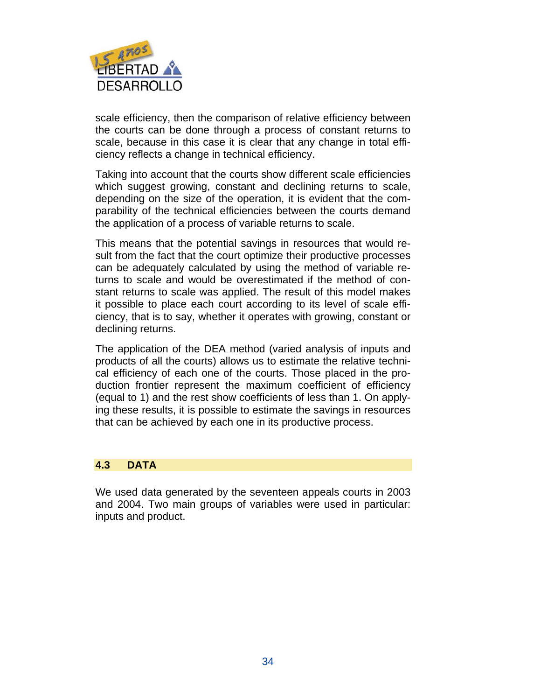

scale efficiency, then the comparison of relative efficiency between the courts can be done through a process of constant returns to scale, because in this case it is clear that any change in total efficiency reflects a change in technical efficiency.

Taking into account that the courts show different scale efficiencies which suggest growing, constant and declining returns to scale, depending on the size of the operation, it is evident that the comparability of the technical efficiencies between the courts demand the application of a process of variable returns to scale.

This means that the potential savings in resources that would result from the fact that the court optimize their productive processes can be adequately calculated by using the method of variable returns to scale and would be overestimated if the method of constant returns to scale was applied. The result of this model makes it possible to place each court according to its level of scale efficiency, that is to say, whether it operates with growing, constant or declining returns.

The application of the DEA method (varied analysis of inputs and products of all the courts) allows us to estimate the relative technical efficiency of each one of the courts. Those placed in the production frontier represent the maximum coefficient of efficiency (equal to 1) and the rest show coefficients of less than 1. On applying these results, it is possible to estimate the savings in resources that can be achieved by each one in its productive process.

#### **4.3 DATA**

We used data generated by the seventeen appeals courts in 2003 and 2004. Two main groups of variables were used in particular: inputs and product.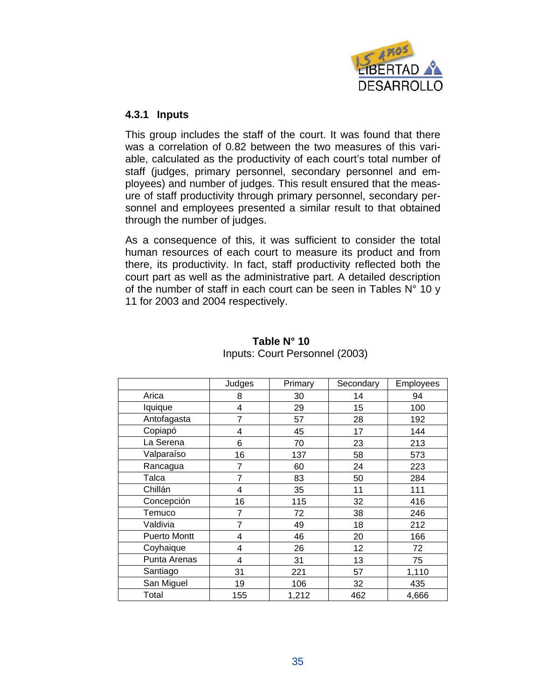

#### **4.3.1 Inputs**

This group includes the staff of the court. It was found that there was a correlation of 0.82 between the two measures of this variable, calculated as the productivity of each court's total number of staff (judges, primary personnel, secondary personnel and employees) and number of judges. This result ensured that the measure of staff productivity through primary personnel, secondary personnel and employees presented a similar result to that obtained through the number of judges.

As a consequence of this, it was sufficient to consider the total human resources of each court to measure its product and from there, its productivity. In fact, staff productivity reflected both the court part as well as the administrative part. A detailed description of the number of staff in each court can be seen in Tables  $N^{\circ}$  10 y 11 for 2003 and 2004 respectively.

|                     | Judges | Primary | Secondary | Employees |
|---------------------|--------|---------|-----------|-----------|
| Arica               | 8      | 30      | 14        | 94        |
| Iquique             | 4      | 29      | 15        | 100       |
| Antofagasta         | 7      | 57      | 28        | 192       |
| Copiapó             | 4      | 45      | 17        | 144       |
| La Serena           | 6      | 70      | 23        | 213       |
| Valparaíso          | 16     | 137     | 58        | 573       |
| Rancagua            | 7      | 60      | 24        | 223       |
| Talca               | 7      | 83      | 50        | 284       |
| Chillán             | 4      | 35      | 11        | 111       |
| Concepción          | 16     | 115     | 32        | 416       |
| Temuco              | 7      | 72      | 38        | 246       |
| Valdivia            | 7      | 49      | 18        | 212       |
| <b>Puerto Montt</b> | 4      | 46      | 20        | 166       |
| Coyhaique           | 4      | 26      | 12        | 72        |
| Punta Arenas        | 4      | 31      | 13        | 75        |
| Santiago            | 31     | 221     | 57        | 1,110     |
| San Miguel          | 19     | 106     | 32        | 435       |
| Total               | 155    | 1,212   | 462       | 4,666     |

#### **Table N° 10**  Inputs: Court Personnel (2003)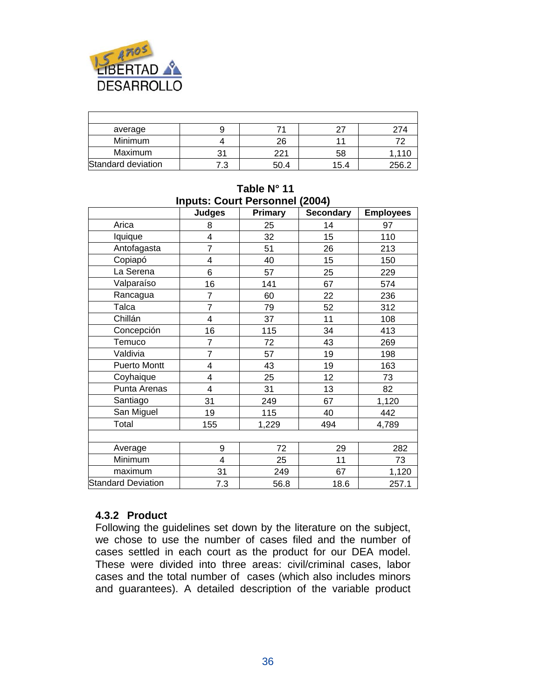

| average            |    |      |      | 274   |
|--------------------|----|------|------|-------|
| Minimum            |    | 26   |      |       |
| Maximum            | 31 | 221  | 58   |       |
| Standard deviation | ن. | 50.4 | 15.4 | 256.2 |

| <b>Inputs: Court Personnel (2004)</b> |                         |         |                  |                  |  |  |  |  |
|---------------------------------------|-------------------------|---------|------------------|------------------|--|--|--|--|
|                                       | <b>Judges</b>           | Primary | <b>Secondary</b> | <b>Employees</b> |  |  |  |  |
| Arica                                 | 8                       | 25      | 14               | 97               |  |  |  |  |
| lquique                               | 4                       | 32      | 15               | 110              |  |  |  |  |
| Antofagasta                           | $\overline{7}$          | 51      | 26               | 213              |  |  |  |  |
| Copiapó                               | 4                       | 40      | 15               | 150              |  |  |  |  |
| La Serena                             | 6                       | 57      | 25               | 229              |  |  |  |  |
| Valparaíso                            | 16                      | 141     | 67               | 574              |  |  |  |  |
| Rancagua                              | $\overline{7}$          | 60      | 22               | 236              |  |  |  |  |
| Talca                                 | $\overline{7}$          | 79      | 52               | 312              |  |  |  |  |
| Chillán                               | 4                       | 37      | 11               | 108              |  |  |  |  |
| Concepción                            | 16                      | 115     | 34               | 413              |  |  |  |  |
| Temuco                                | 7                       | 72      | 43               | 269              |  |  |  |  |
| Valdivia                              | $\overline{7}$          | 57      | 19               | 198              |  |  |  |  |
| <b>Puerto Montt</b>                   | 4                       | 43      | 19               | 163              |  |  |  |  |
| Coyhaique                             | 4                       | 25      | 12               | 73               |  |  |  |  |
| Punta Arenas                          | 4                       | 31      | 13               | 82               |  |  |  |  |
| Santiago                              | 31                      | 249     | 67               | 1,120            |  |  |  |  |
| San Miguel                            | 19                      | 115     | 40               | 442              |  |  |  |  |
| Total                                 | 155                     | 1,229   | 494              | 4,789            |  |  |  |  |
|                                       |                         |         |                  |                  |  |  |  |  |
| Average                               | 9                       | 72      | 29               | 282              |  |  |  |  |
| Minimum                               | $\overline{\mathbf{4}}$ | 25      | 11               | 73               |  |  |  |  |
| maximum                               | 31                      | 249     | 67               | 1,120            |  |  |  |  |
| <b>Standard Deviation</b>             | 7.3                     | 56.8    | 18.6             | 257.1            |  |  |  |  |

# **Table N° 11**

#### **4.3.2 Product**

Following the guidelines set down by the literature on the subject, we chose to use the number of cases filed and the number of cases settled in each court as the product for our DEA model. These were divided into three areas: civil/criminal cases, labor cases and the total number of cases (which also includes minors and guarantees). A detailed description of the variable product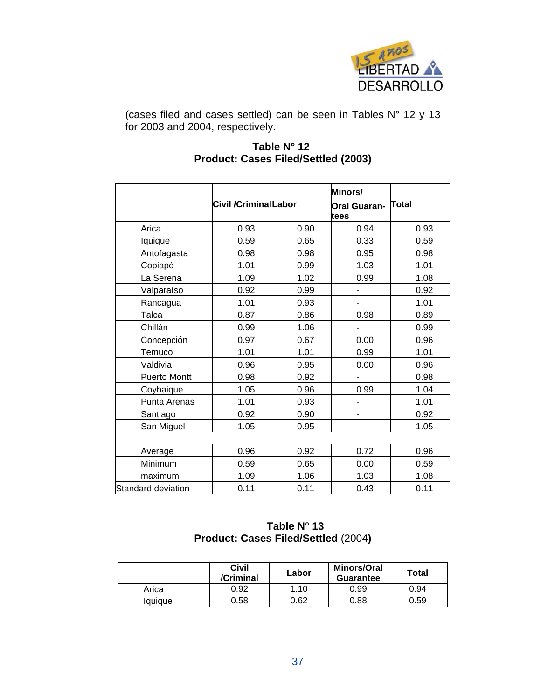

(cases filed and cases settled) can be seen in Tables N° 12 y 13 for 2003 and 2004, respectively.

#### **Table N° 12 Product: Cases Filed/Settled (2003)**

|                     | <b>Civil /CriminalLabor</b> |      | Minors/<br><b>Oral Guaran-</b><br>tees | Total |
|---------------------|-----------------------------|------|----------------------------------------|-------|
| Arica               | 0.93                        | 0.90 | 0.94                                   | 0.93  |
| Iquique             | 0.59                        | 0.65 | 0.33                                   | 0.59  |
| Antofagasta         | 0.98                        | 0.98 | 0.95                                   | 0.98  |
| Copiapó             | 1.01                        | 0.99 | 1.03                                   | 1.01  |
| La Serena           | 1.09                        | 1.02 | 0.99                                   | 1.08  |
| Valparaíso          | 0.92                        | 0.99 | ۰                                      | 0.92  |
| Rancagua            | 1.01                        | 0.93 |                                        | 1.01  |
| Talca               | 0.87                        | 0.86 | 0.98                                   | 0.89  |
| Chillán             | 0.99                        | 1.06 | ٠                                      | 0.99  |
| Concepción          | 0.97                        | 0.67 | 0.00                                   | 0.96  |
| Temuco              | 1.01                        | 1.01 | 0.99                                   | 1.01  |
| Valdivia            | 0.96                        | 0.95 | 0.00                                   | 0.96  |
| <b>Puerto Montt</b> | 0.98                        | 0.92 |                                        | 0.98  |
| Coyhaique           | 1.05                        | 0.96 | 0.99                                   | 1.04  |
| Punta Arenas        | 1.01                        | 0.93 | ÷,                                     | 1.01  |
| Santiago            | 0.92                        | 0.90 | ٠                                      | 0.92  |
| San Miguel          | 1.05                        | 0.95 | ۰                                      | 1.05  |
|                     |                             |      |                                        |       |
| Average             | 0.96                        | 0.92 | 0.72                                   | 0.96  |
| Minimum             | 0.59                        | 0.65 | 0.00                                   | 0.59  |
| maximum             | 1.09                        | 1.06 | 1.03                                   | 1.08  |
| Standard deviation  | 0.11                        | 0.11 | 0.43                                   | 0.11  |

#### **Table N° 13 Product: Cases Filed/Settled** (2004**)**

|         | Civil<br>/Criminal | Labor | <b>Minors/Oral</b><br><b>Guarantee</b> | <b>Total</b> |
|---------|--------------------|-------|----------------------------------------|--------------|
| Arica   | 0.92               | 1.10  | 0.99                                   | 0.94         |
| laujaue | 0.58               | 0.62  | 0.88                                   | 0.59         |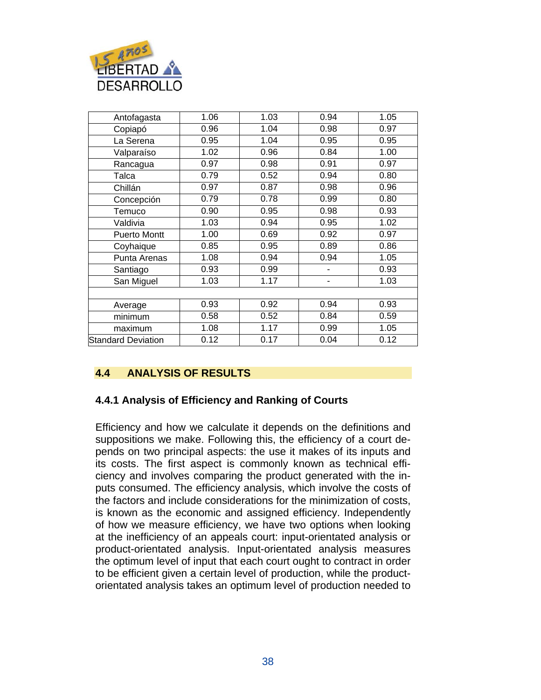

| Antofagasta               | 1.06 | 1.03 | 0.94 | 1.05 |
|---------------------------|------|------|------|------|
| Copiapó                   | 0.96 | 1.04 | 0.98 | 0.97 |
| La Serena                 | 0.95 | 1.04 | 0.95 | 0.95 |
| Valparaíso                | 1.02 | 0.96 | 0.84 | 1.00 |
| Rancagua                  | 0.97 | 0.98 | 0.91 | 0.97 |
| Talca                     | 0.79 | 0.52 | 0.94 | 0.80 |
| Chillán                   | 0.97 | 0.87 | 0.98 | 0.96 |
| Concepción                | 0.79 | 0.78 | 0.99 | 0.80 |
| Temuco                    | 0.90 | 0.95 | 0.98 | 0.93 |
| Valdivia                  | 1.03 | 0.94 | 0.95 | 1.02 |
| <b>Puerto Montt</b>       | 1.00 | 0.69 | 0.92 | 0.97 |
| Coyhaique                 | 0.85 | 0.95 | 0.89 | 0.86 |
| Punta Arenas              | 1.08 | 0.94 | 0.94 | 1.05 |
| Santiago                  | 0.93 | 0.99 | ۰    | 0.93 |
| San Miguel                | 1.03 | 1.17 | ٠    | 1.03 |
|                           |      |      |      |      |
| Average                   | 0.93 | 0.92 | 0.94 | 0.93 |
| minimum                   | 0.58 | 0.52 | 0.84 | 0.59 |
| maximum                   | 1.08 | 1.17 | 0.99 | 1.05 |
| <b>Standard Deviation</b> | 0.12 | 0.17 | 0.04 | 0.12 |

#### **4.4 ANALYSIS OF RESULTS**

#### **4.4.1 Analysis of Efficiency and Ranking of Courts**

Efficiency and how we calculate it depends on the definitions and suppositions we make. Following this, the efficiency of a court depends on two principal aspects: the use it makes of its inputs and its costs. The first aspect is commonly known as technical efficiency and involves comparing the product generated with the inputs consumed. The efficiency analysis, which involve the costs of the factors and include considerations for the minimization of costs, is known as the economic and assigned efficiency. Independently of how we measure efficiency, we have two options when looking at the inefficiency of an appeals court: input-orientated analysis or product-orientated analysis. Input-orientated analysis measures the optimum level of input that each court ought to contract in order to be efficient given a certain level of production, while the productorientated analysis takes an optimum level of production needed to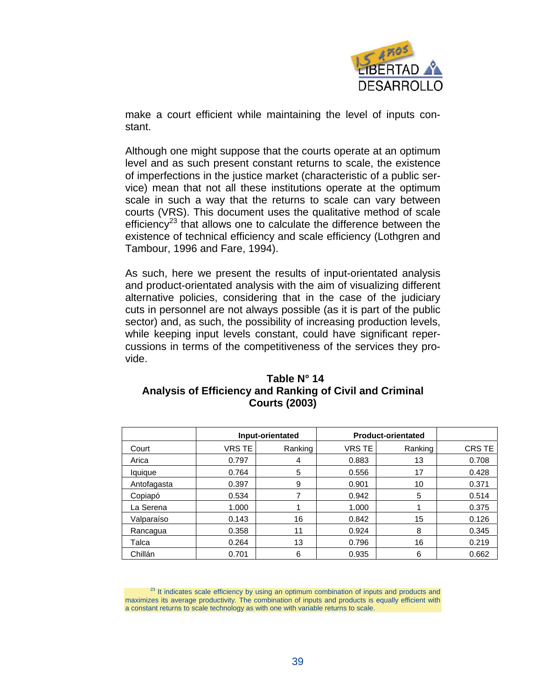

make a court efficient while maintaining the level of inputs constant.

Although one might suppose that the courts operate at an optimum level and as such present constant returns to scale, the existence of imperfections in the justice market (characteristic of a public service) mean that not all these institutions operate at the optimum scale in such a way that the returns to scale can vary between courts (VRS). This document uses the qualitative method of scale efficiency<sup>23</sup> that allows one to calculate the difference between the existence of technical efficiency and scale efficiency (Lothgren and Tambour, 1996 and Fare, 1994).

As such, here we present the results of input-orientated analysis and product-orientated analysis with the aim of visualizing different alternative policies, considering that in the case of the judiciary cuts in personnel are not always possible (as it is part of the public sector) and, as such, the possibility of increasing production levels, while keeping input levels constant, could have significant repercussions in terms of the competitiveness of the services they provide.

| Table N° 14                                              |
|----------------------------------------------------------|
| Analysis of Efficiency and Ranking of Civil and Criminal |
| <b>Courts (2003)</b>                                     |

|             | Input-orientated |         | <b>Product-orientated</b> |         |        |
|-------------|------------------|---------|---------------------------|---------|--------|
| Court       | VRS TE           | Ranking | VRS TE                    | Ranking | CRS TE |
| Arica       | 0.797            | 4       | 0.883                     | 13      | 0.708  |
| lquique     | 0.764            | 5       | 0.556                     | 17      | 0.428  |
| Antofagasta | 0.397            | 9       | 0.901                     | 10      | 0.371  |
| Copiapó     | 0.534            |         | 0.942                     | 5       | 0.514  |
| La Serena   | 1.000            |         | 1.000                     |         | 0.375  |
| Valparaíso  | 0.143            | 16      | 0.842                     | 15      | 0.126  |
| Rancagua    | 0.358            | 11      | 0.924                     | 8       | 0.345  |
| Talca       | 0.264            | 13      | 0.796                     | 16      | 0.219  |
| Chillán     | 0.701            | 6       | 0.935                     | 6       | 0.662  |

<sup>23</sup> It indicates scale efficiency by using an optimum combination of inputs and products and maximizes its average productivity. The combination of inputs and products is equally efficient with a constant returns to scale technology as with one with variable returns to scale.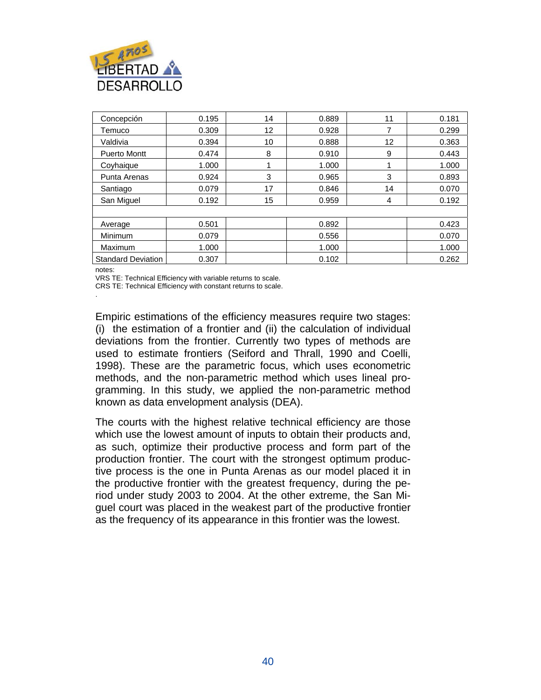

| Concepción                | 0.195 | 14 | 0.889 | 11 | 0.181 |
|---------------------------|-------|----|-------|----|-------|
| Temuco                    | 0.309 | 12 | 0.928 |    | 0.299 |
| Valdivia                  | 0.394 | 10 | 0.888 | 12 | 0.363 |
| <b>Puerto Montt</b>       | 0.474 | 8  | 0.910 | 9  | 0.443 |
| Coyhaique                 | 1.000 |    | 1.000 |    | 1.000 |
| Punta Arenas              | 0.924 | 3  | 0.965 | 3  | 0.893 |
| Santiago                  | 0.079 | 17 | 0.846 | 14 | 0.070 |
| San Miguel                | 0.192 | 15 | 0.959 | 4  | 0.192 |
|                           |       |    |       |    |       |
| Average                   | 0.501 |    | 0.892 |    | 0.423 |
| Minimum                   | 0.079 |    | 0.556 |    | 0.070 |
| Maximum                   | 1.000 |    | 1.000 |    | 1.000 |
| <b>Standard Deviation</b> | 0.307 |    | 0.102 |    | 0.262 |

notes:

VRS TE: Technical Efficiency with variable returns to scale.

CRS TE: Technical Efficiency with constant returns to scale. .

Empiric estimations of the efficiency measures require two stages: (i) the estimation of a frontier and (ii) the calculation of individual deviations from the frontier. Currently two types of methods are used to estimate frontiers (Seiford and Thrall, 1990 and Coelli, 1998). These are the parametric focus, which uses econometric methods, and the non-parametric method which uses lineal programming. In this study, we applied the non-parametric method known as data envelopment analysis (DEA).

The courts with the highest relative technical efficiency are those which use the lowest amount of inputs to obtain their products and, as such, optimize their productive process and form part of the production frontier. The court with the strongest optimum productive process is the one in Punta Arenas as our model placed it in the productive frontier with the greatest frequency, during the period under study 2003 to 2004. At the other extreme, the San Miguel court was placed in the weakest part of the productive frontier as the frequency of its appearance in this frontier was the lowest.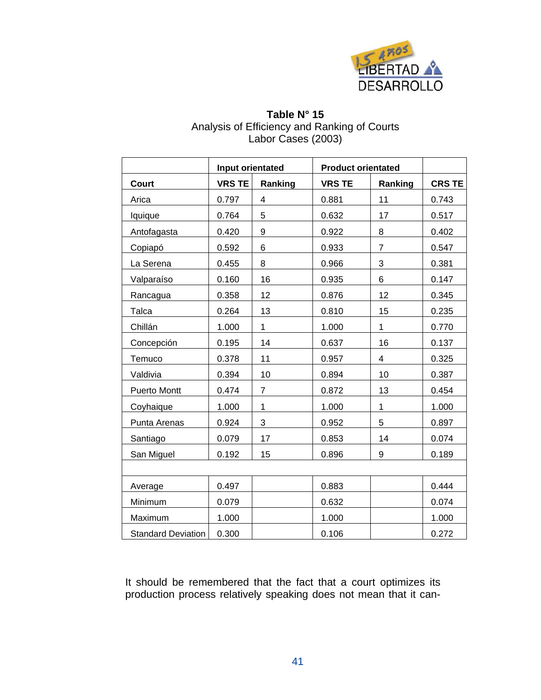

#### **Table N° 15**  Analysis of Efficiency and Ranking of Courts Labor Cases (2003)

|                           | Input orientated |                         | <b>Product orientated</b> |                |               |
|---------------------------|------------------|-------------------------|---------------------------|----------------|---------------|
| <b>Court</b>              | <b>VRS TE</b>    | Ranking                 | <b>VRS TE</b>             | Ranking        | <b>CRS TE</b> |
| Arica                     | 0.797            | $\overline{\mathbf{4}}$ | 0.881                     | 11             | 0.743         |
| lquique                   | 0.764            | 5                       | 0.632                     | 17             | 0.517         |
| Antofagasta               | 0.420            | 9                       | 0.922                     | 8              | 0.402         |
| Copiapó                   | 0.592            | 6                       | 0.933                     | $\overline{7}$ | 0.547         |
| La Serena                 | 0.455            | 8                       | 0.966                     | 3              | 0.381         |
| Valparaíso                | 0.160            | 16                      | 0.935                     | 6              | 0.147         |
| Rancagua                  | 0.358            | 12                      | 0.876                     | 12             | 0.345         |
| Talca                     | 0.264            | 13                      | 0.810                     | 15             | 0.235         |
| Chillán                   | 1.000            | 1                       | 1.000                     | 1              | 0.770         |
| Concepción                | 0.195            | 14                      | 0.637                     | 16             | 0.137         |
| Temuco                    | 0.378            | 11                      | 0.957                     | 4              | 0.325         |
| Valdivia                  | 0.394            | 10                      | 0.894                     | 10             | 0.387         |
| Puerto Montt              | 0.474            | $\overline{7}$          | 0.872                     | 13             | 0.454         |
| Coyhaique                 | 1.000            | 1                       | 1.000                     | 1              | 1.000         |
| Punta Arenas              | 0.924            | 3                       | 0.952                     | 5              | 0.897         |
| Santiago                  | 0.079            | 17                      | 0.853                     | 14             | 0.074         |
| San Miguel                | 0.192            | 15                      | 0.896                     | 9              | 0.189         |
|                           |                  |                         |                           |                |               |
| Average                   | 0.497            |                         | 0.883                     |                | 0.444         |
| Minimum                   | 0.079            |                         | 0.632                     |                | 0.074         |
| Maximum                   | 1.000            |                         | 1.000                     |                | 1.000         |
| <b>Standard Deviation</b> | 0.300            |                         | 0.106                     |                | 0.272         |

It should be remembered that the fact that a court optimizes its production process relatively speaking does not mean that it can-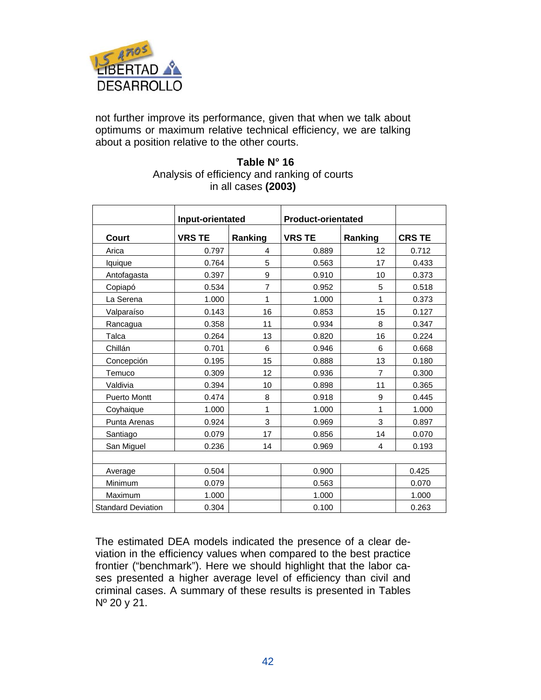

not further improve its performance, given that when we talk about optimums or maximum relative technical efficiency, we are talking about a position relative to the other courts.

#### **Table N° 16**  Analysis of efficiency and ranking of courts in all cases **(2003)**

|                           | Input-orientated |                | <b>Product-orientated</b> |                |               |
|---------------------------|------------------|----------------|---------------------------|----------------|---------------|
| <b>Court</b>              | <b>VRS TE</b>    | Ranking        | <b>VRS TE</b>             | Ranking        | <b>CRS TE</b> |
| Arica                     | 0.797            | 4              | 0.889                     | 12             | 0.712         |
| Iquique                   | 0.764            | 5              | 0.563                     | 17             | 0.433         |
| Antofagasta               | 0.397            | 9              | 0.910                     | 10             | 0.373         |
| Copiapó                   | 0.534            | $\overline{7}$ | 0.952                     | 5              | 0.518         |
| La Serena                 | 1.000            | 1              | 1.000                     | 1              | 0.373         |
| Valparaíso                | 0.143            | 16             | 0.853                     | 15             | 0.127         |
| Rancagua                  | 0.358            | 11             | 0.934                     | 8              | 0.347         |
| Talca                     | 0.264            | 13             | 0.820                     | 16             | 0.224         |
| Chillán                   | 0.701            | 6              | 0.946                     | 6              | 0.668         |
| Concepción                | 0.195            | 15             | 0.888                     | 13             | 0.180         |
| Temuco                    | 0.309            | 12             | 0.936                     | $\overline{7}$ | 0.300         |
| Valdivia                  | 0.394            | 10             | 0.898                     | 11             | 0.365         |
| <b>Puerto Montt</b>       | 0.474            | 8              | 0.918                     | 9              | 0.445         |
| Coyhaique                 | 1.000            | 1              | 1.000                     | 1              | 1.000         |
| Punta Arenas              | 0.924            | 3              | 0.969                     | 3              | 0.897         |
| Santiago                  | 0.079            | 17             | 0.856                     | 14             | 0.070         |
| San Miguel                | 0.236            | 14             | 0.969                     | 4              | 0.193         |
|                           |                  |                |                           |                |               |
| Average                   | 0.504            |                | 0.900                     |                | 0.425         |
| Minimum                   | 0.079            |                | 0.563                     |                | 0.070         |
| Maximum                   | 1.000            |                | 1.000                     |                | 1.000         |
| <b>Standard Deviation</b> | 0.304            |                | 0.100                     |                | 0.263         |

The estimated DEA models indicated the presence of a clear deviation in the efficiency values when compared to the best practice frontier ("benchmark"). Here we should highlight that the labor cases presented a higher average level of efficiency than civil and criminal cases. A summary of these results is presented in Tables  $N^{\circ}$  20 y 21.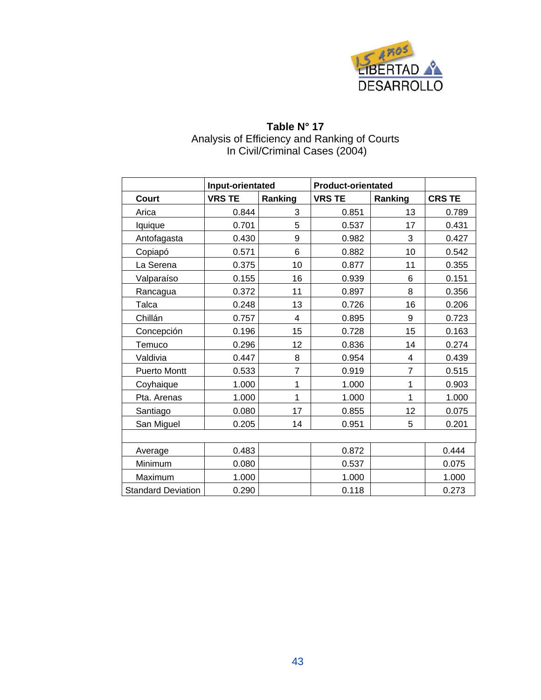

#### **Table N° 17**  Analysis of Efficiency and Ranking of Courts In Civil/Criminal Cases (2004)

|                           | Input-orientated |                | <b>Product-orientated</b> |                |               |
|---------------------------|------------------|----------------|---------------------------|----------------|---------------|
| Court                     | <b>VRS TE</b>    | Ranking        | <b>VRS TE</b>             | Ranking        | <b>CRS TE</b> |
| Arica                     | 0.844            | 3              | 0.851                     | 13             | 0.789         |
| lquique                   | 0.701            | 5              | 0.537                     | 17             | 0.431         |
| Antofagasta               | 0.430            | 9              | 0.982                     | 3              | 0.427         |
| Copiapó                   | 0.571            | 6              | 0.882                     | 10             | 0.542         |
| La Serena                 | 0.375            | 10             | 0.877                     | 11             | 0.355         |
| Valparaíso                | 0.155            | 16             | 0.939                     | 6              | 0.151         |
| Rancagua                  | 0.372            | 11             | 0.897                     | 8              | 0.356         |
| Talca                     | 0.248            | 13             | 0.726                     | 16             | 0.206         |
| Chillán                   | 0.757            | $\overline{4}$ | 0.895                     | 9              | 0.723         |
| Concepción                | 0.196            | 15             | 0.728                     | 15             | 0.163         |
| Temuco                    | 0.296            | 12             | 0.836                     | 14             | 0.274         |
| Valdivia                  | 0.447            | 8              | 0.954                     | 4              | 0.439         |
| <b>Puerto Montt</b>       | 0.533            | $\overline{7}$ | 0.919                     | $\overline{7}$ | 0.515         |
| Coyhaique                 | 1.000            | 1              | 1.000                     | 1              | 0.903         |
| Pta. Arenas               | 1.000            | 1              | 1.000                     | 1              | 1.000         |
| Santiago                  | 0.080            | 17             | 0.855                     | 12             | 0.075         |
| San Miguel                | 0.205            | 14             | 0.951                     | 5              | 0.201         |
|                           |                  |                |                           |                |               |
| Average                   | 0.483            |                | 0.872                     |                | 0.444         |
| Minimum                   | 0.080            |                | 0.537                     |                | 0.075         |
| Maximum                   | 1.000            |                | 1.000                     |                | 1.000         |
| <b>Standard Deviation</b> | 0.290            |                | 0.118                     |                | 0.273         |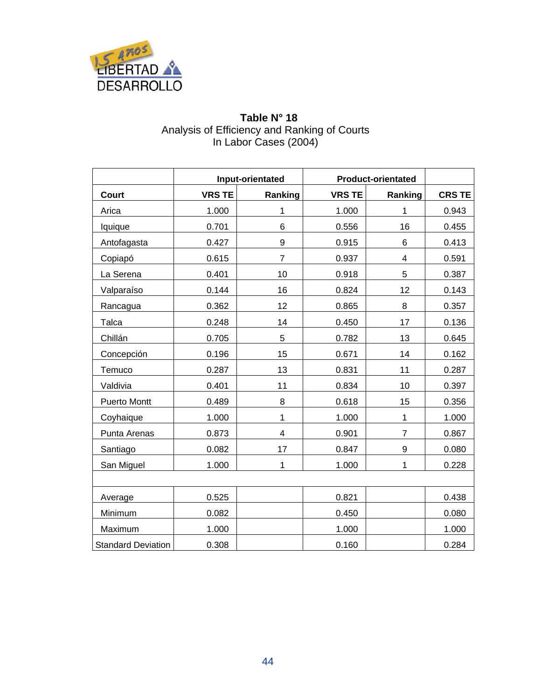

#### **Table N° 18**  Analysis of Efficiency and Ranking of Courts In Labor Cases (2004)

|                           | Input-orientated |                | <b>Product-orientated</b> |                |               |
|---------------------------|------------------|----------------|---------------------------|----------------|---------------|
| <b>Court</b>              | <b>VRS TE</b>    | Ranking        | <b>VRS TE</b>             | Ranking        | <b>CRS TE</b> |
| Arica                     | 1.000            | 1              | 1.000                     | 1              | 0.943         |
| lquique                   | 0.701            | 6              | 0.556                     | 16             | 0.455         |
| Antofagasta               | 0.427            | $\mathsf g$    | 0.915                     | 6              | 0.413         |
| Copiapó                   | 0.615            | $\overline{7}$ | 0.937                     | 4              | 0.591         |
| La Serena                 | 0.401            | 10             | 0.918                     | 5              | 0.387         |
| Valparaíso                | 0.144            | 16             | 0.824                     | 12             | 0.143         |
| Rancagua                  | 0.362            | 12             | 0.865                     | 8              | 0.357         |
| Talca                     | 0.248            | 14             | 0.450                     | 17             | 0.136         |
| Chillán                   | 0.705            | 5              | 0.782                     | 13             | 0.645         |
| Concepción                | 0.196            | 15             | 0.671                     | 14             | 0.162         |
| Temuco                    | 0.287            | 13             | 0.831                     | 11             | 0.287         |
| Valdivia                  | 0.401            | 11             | 0.834                     | 10             | 0.397         |
| <b>Puerto Montt</b>       | 0.489            | 8              | 0.618                     | 15             | 0.356         |
| Coyhaique                 | 1.000            | 1              | 1.000                     | $\mathbf{1}$   | 1.000         |
| Punta Arenas              | 0.873            | 4              | 0.901                     | $\overline{7}$ | 0.867         |
| Santiago                  | 0.082            | 17             | 0.847                     | 9              | 0.080         |
| San Miguel                | 1.000            | 1              | 1.000                     | $\mathbf{1}$   | 0.228         |
|                           |                  |                |                           |                |               |
| Average                   | 0.525            |                | 0.821                     |                | 0.438         |
| Minimum                   | 0.082            |                | 0.450                     |                | 0.080         |
| Maximum                   | 1.000            |                | 1.000                     |                | 1.000         |
| <b>Standard Deviation</b> | 0.308            |                | 0.160                     |                | 0.284         |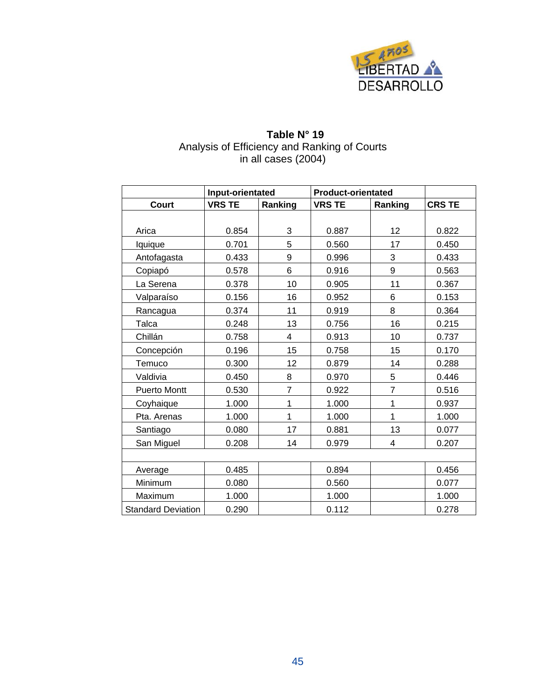

# **Table N° 19**  Analysis of Efficiency and Ranking of Courts in all cases (2004)

|                           | Input-orientated |                | <b>Product-orientated</b> |                |               |
|---------------------------|------------------|----------------|---------------------------|----------------|---------------|
| <b>Court</b>              | <b>VRS TE</b>    | Ranking        | <b>VRS TE</b>             | Ranking        | <b>CRS TE</b> |
|                           |                  |                |                           |                |               |
| Arica                     | 0.854            | 3              | 0.887                     | 12             | 0.822         |
| lquique                   | 0.701            | 5              | 0.560                     | 17             | 0.450         |
| Antofagasta               | 0.433            | 9              | 0.996                     | 3              | 0.433         |
| Copiapó                   | 0.578            | 6              | 0.916                     | 9              | 0.563         |
| La Serena                 | 0.378            | 10             | 0.905                     | 11             | 0.367         |
| Valparaíso                | 0.156            | 16             | 0.952                     | 6              | 0.153         |
| Rancagua                  | 0.374            | 11             | 0.919                     | 8              | 0.364         |
| Talca                     | 0.248            | 13             | 0.756                     | 16             | 0.215         |
| Chillán                   | 0.758            | 4              | 0.913                     | 10             | 0.737         |
| Concepción                | 0.196            | 15             | 0.758                     | 15             | 0.170         |
| Temuco                    | 0.300            | 12             | 0.879                     | 14             | 0.288         |
| Valdivia                  | 0.450            | 8              | 0.970                     | 5              | 0.446         |
| <b>Puerto Montt</b>       | 0.530            | $\overline{7}$ | 0.922                     | $\overline{7}$ | 0.516         |
| Coyhaique                 | 1.000            | 1              | 1.000                     | 1              | 0.937         |
| Pta. Arenas               | 1.000            | 1              | 1.000                     | 1              | 1.000         |
| Santiago                  | 0.080            | 17             | 0.881                     | 13             | 0.077         |
| San Miguel                | 0.208            | 14             | 0.979                     | 4              | 0.207         |
|                           |                  |                |                           |                |               |
| Average                   | 0.485            |                | 0.894                     |                | 0.456         |
| Minimum                   | 0.080            |                | 0.560                     |                | 0.077         |
| Maximum                   | 1.000            |                | 1.000                     |                | 1.000         |
| <b>Standard Deviation</b> | 0.290            |                | 0.112                     |                | 0.278         |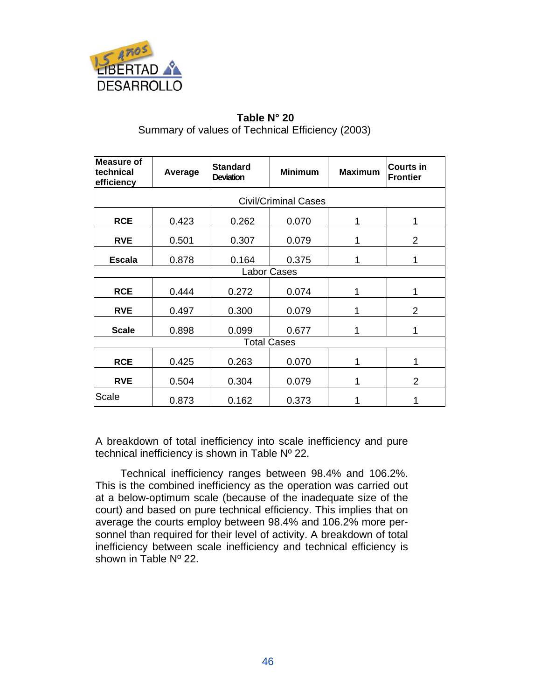

## **Table N° 20**  Summary of values of Technical Efficiency (2003)

| <b>Measure of</b><br>technical<br>efficiency | Average                     | <b>Standard</b><br><b>Deviation</b> | <b>Minimum</b> | <b>Maximum</b> | <b>Courts in</b><br><b>Frontier</b> |  |  |  |  |
|----------------------------------------------|-----------------------------|-------------------------------------|----------------|----------------|-------------------------------------|--|--|--|--|
|                                              | <b>Civil/Criminal Cases</b> |                                     |                |                |                                     |  |  |  |  |
| <b>RCE</b>                                   | 0.423                       | 0.262                               | 0.070          | 1              | 1                                   |  |  |  |  |
| <b>RVE</b>                                   | 0.501                       | 0.307                               | 0.079          | 1              | $\overline{2}$                      |  |  |  |  |
| <b>Escala</b>                                | 0.878                       | 0.164                               | 0.375          | 1              | 1                                   |  |  |  |  |
|                                              | <b>Labor Cases</b>          |                                     |                |                |                                     |  |  |  |  |
| <b>RCE</b>                                   | 0.444                       | 0.272                               | 0.074          | 1              | 1                                   |  |  |  |  |
| <b>RVE</b>                                   | 0.497                       | 0.300                               | 0.079          | 1              | $\overline{2}$                      |  |  |  |  |
| <b>Scale</b>                                 | 0.898                       | 0.099                               | 0.677          |                | 1                                   |  |  |  |  |
|                                              |                             | <b>Total Cases</b>                  |                |                |                                     |  |  |  |  |
| <b>RCE</b>                                   | 0.425                       | 0.263                               | 0.070          | 1              | 1                                   |  |  |  |  |
| <b>RVE</b>                                   | 0.504                       | 0.304                               | 0.079          | 1              | $\overline{2}$                      |  |  |  |  |
| Scale                                        | 0.873                       | 0.162                               | 0.373          |                |                                     |  |  |  |  |

A breakdown of total inefficiency into scale inefficiency and pure technical inefficiency is shown in Table Nº 22.

Technical inefficiency ranges between 98.4% and 106.2%. This is the combined inefficiency as the operation was carried out at a below-optimum scale (because of the inadequate size of the court) and based on pure technical efficiency. This implies that on average the courts employ between 98.4% and 106.2% more personnel than required for their level of activity. A breakdown of total inefficiency between scale inefficiency and technical efficiency is shown in Table Nº 22.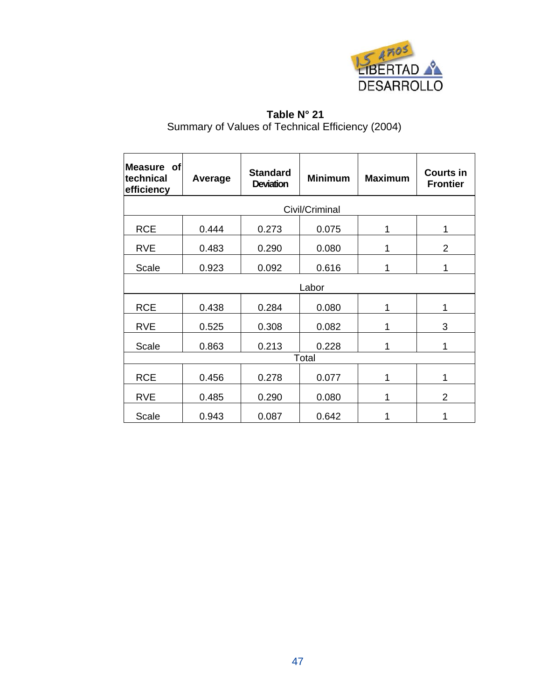

# **Table N° 21**  Summary of Values of Technical Efficiency (2004)

| Measure of<br>technical<br>efficiency | Average        | <b>Standard</b><br><b>Deviation</b> | <b>Minimum</b> | <b>Maximum</b> | <b>Courts in</b><br><b>Frontier</b> |  |  |  |  |
|---------------------------------------|----------------|-------------------------------------|----------------|----------------|-------------------------------------|--|--|--|--|
|                                       | Civil/Criminal |                                     |                |                |                                     |  |  |  |  |
| <b>RCE</b>                            | 0.444          | 0.273                               | 0.075          | 1              | 1                                   |  |  |  |  |
| <b>RVE</b>                            | 0.483          | 0.290                               | 0.080          | 1              | 2                                   |  |  |  |  |
| Scale                                 | 0.923          | 0.092                               | 0.616          | 1              |                                     |  |  |  |  |
|                                       | Labor          |                                     |                |                |                                     |  |  |  |  |
| <b>RCE</b>                            | 0.438          | 0.284                               | 0.080          | 1              | 1                                   |  |  |  |  |
| <b>RVE</b>                            | 0.525          | 0.308                               | 0.082          | 1              | 3                                   |  |  |  |  |
| Scale                                 | 0.863          | 0.213                               | 0.228          | 1              | 1                                   |  |  |  |  |
|                                       |                |                                     | Total          |                |                                     |  |  |  |  |
| <b>RCE</b>                            | 0.456          | 0.278                               | 0.077          | 1              | 1                                   |  |  |  |  |
| <b>RVE</b>                            | 0.485          | 0.290                               | 0.080          | 1              | $\overline{2}$                      |  |  |  |  |
| Scale                                 | 0.943          | 0.087                               | 0.642          | 1              | 1                                   |  |  |  |  |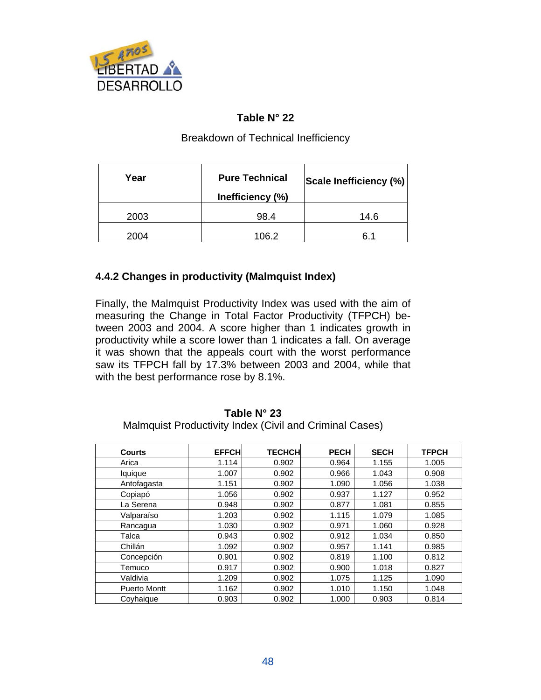

#### **Table N° 22**

#### Breakdown of Technical Inefficiency

| Year | <b>Pure Technical</b><br>Inefficiency (%) | Scale Inefficiency (%) |
|------|-------------------------------------------|------------------------|
| 2003 | 98.4                                      | 14.6                   |
| 2004 | 106.2                                     | 6.1                    |

#### **4.4.2 Changes in productivity (Malmquist Index)**

Finally, the Malmquist Productivity Index was used with the aim of measuring the Change in Total Factor Productivity (TFPCH) between 2003 and 2004. A score higher than 1 indicates growth in productivity while a score lower than 1 indicates a fall. On average it was shown that the appeals court with the worst performance saw its TFPCH fall by 17.3% between 2003 and 2004, while that with the best performance rose by 8.1%.

#### **Table N° 23**  Malmquist Productivity Index (Civil and Criminal Cases)

| <b>Courts</b>       | <b>EFFCH</b> | <b>TECHCH</b> | <b>PECH</b> | <b>SECH</b> | <b>TFPCH</b> |
|---------------------|--------------|---------------|-------------|-------------|--------------|
| Arica               | 1.114        | 0.902         | 0.964       | 1.155       | 1.005        |
| lquique             | 1.007        | 0.902         | 0.966       | 1.043       | 0.908        |
| Antofagasta         | 1.151        | 0.902         | 1.090       | 1.056       | 1.038        |
| Copiapó             | 1.056        | 0.902         | 0.937       | 1.127       | 0.952        |
| La Serena           | 0.948        | 0.902         | 0.877       | 1.081       | 0.855        |
| Valparaíso          | 1.203        | 0.902         | 1.115       | 1.079       | 1.085        |
| Rancagua            | 1.030        | 0.902         | 0.971       | 1.060       | 0.928        |
| Talca               | 0.943        | 0.902         | 0.912       | 1.034       | 0.850        |
| Chillán             | 1.092        | 0.902         | 0.957       | 1.141       | 0.985        |
| Concepción          | 0.901        | 0.902         | 0.819       | 1.100       | 0.812        |
| Temuco              | 0.917        | 0.902         | 0.900       | 1.018       | 0.827        |
| Valdivia            | 1.209        | 0.902         | 1.075       | 1.125       | 1.090        |
| <b>Puerto Montt</b> | 1.162        | 0.902         | 1.010       | 1.150       | 1.048        |
| Coyhaique           | 0.903        | 0.902         | 1.000       | 0.903       | 0.814        |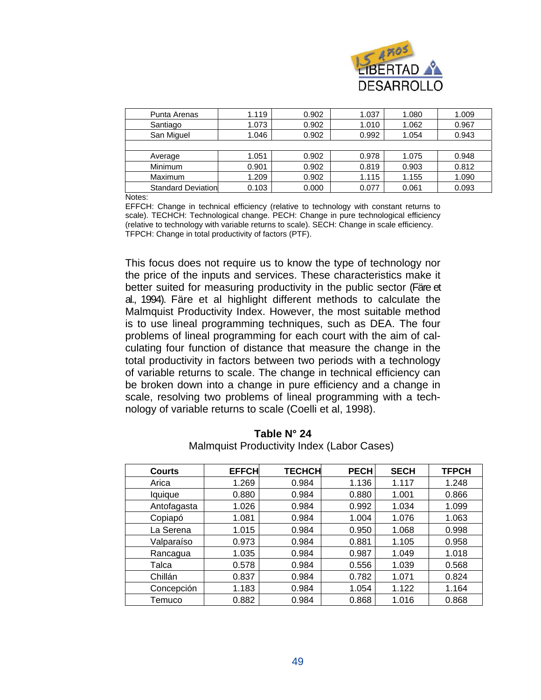

| Punta Arenas               | 1.119 | 0.902 | 1.037 | 1.080 | 1.009 |
|----------------------------|-------|-------|-------|-------|-------|
| Santiago                   | 1.073 | 0.902 | 1.010 | 1.062 | 0.967 |
| San Miguel                 | 1.046 | 0.902 | 0.992 | 1.054 | 0.943 |
|                            |       |       |       |       |       |
| Average                    | 1.051 | 0.902 | 0.978 | 1.075 | 0.948 |
| Minimum                    | 0.901 | 0.902 | 0.819 | 0.903 | 0.812 |
| Maximum                    | 1.209 | 0.902 | 1.115 | 1.155 | 1.090 |
| <b>Standard Deviationl</b> | 0.103 | 0.000 | 0.077 | 0.061 | 0.093 |

Notes:

EFFCH: Change in technical efficiency (relative to technology with constant returns to scale). TECHCH: Technological change. PECH: Change in pure technological efficiency (relative to technology with variable returns to scale). SECH: Change in scale efficiency. TFPCH: Change in total productivity of factors (PTF).

This focus does not require us to know the type of technology nor the price of the inputs and services. These characteristics make it better suited for measuring productivity in the public sector (Färe et al., 1994). Färe et al highlight different methods to calculate the Malmquist Productivity Index. However, the most suitable method is to use lineal programming techniques, such as DEA. The four problems of lineal programming for each court with the aim of calculating four function of distance that measure the change in the total productivity in factors between two periods with a technology of variable returns to scale. The change in technical efficiency can be broken down into a change in pure efficiency and a change in scale, resolving two problems of lineal programming with a technology of variable returns to scale (Coelli et al, 1998).

| <b>Courts</b> | <b>EFFCH</b> | <b>TECHCH</b> | <b>PECH</b> | <b>SECH</b> | <b>TFPCH</b> |
|---------------|--------------|---------------|-------------|-------------|--------------|
| Arica         | 1.269        | 0.984         | 1.136       | 1.117       | 1.248        |
| lquique       | 0.880        | 0.984         | 0.880       | 1.001       | 0.866        |
| Antofagasta   | 1.026        | 0.984         | 0.992       | 1.034       | 1.099        |
| Copiapó       | 1.081        | 0.984         | 1.004       | 1.076       | 1.063        |
| La Serena     | 1.015        | 0.984         | 0.950       | 1.068       | 0.998        |
| Valparaíso    | 0.973        | 0.984         | 0.881       | 1.105       | 0.958        |
| Rancagua      | 1.035        | 0.984         | 0.987       | 1.049       | 1.018        |
| Talca         | 0.578        | 0.984         | 0.556       | 1.039       | 0.568        |
| Chillán       | 0.837        | 0.984         | 0.782       | 1.071       | 0.824        |
| Concepción    | 1.183        | 0.984         | 1.054       | 1.122       | 1.164        |
| Temuco        | 0.882        | 0.984         | 0.868       | 1.016       | 0.868        |

**Table N° 24**  Malmquist Productivity Index (Labor Cases)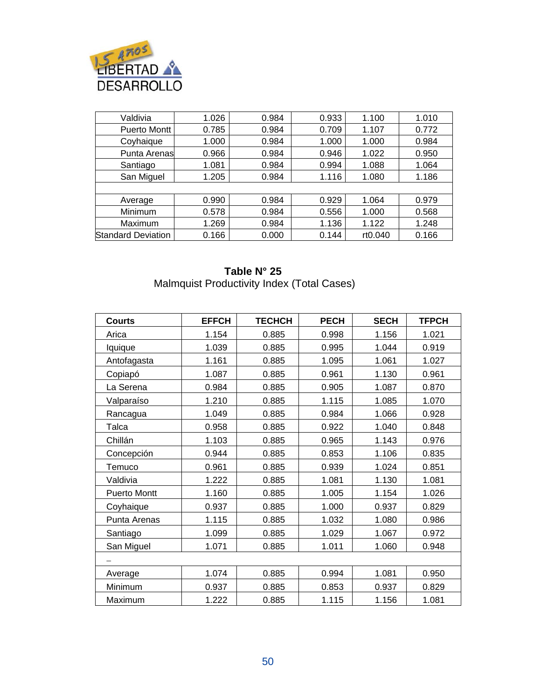

| Valdivia                  | 1.026 | 0.984 | 0.933 | 1.100   | 1.010 |
|---------------------------|-------|-------|-------|---------|-------|
| <b>Puerto Montt</b>       | 0.785 | 0.984 | 0.709 | 1.107   | 0.772 |
| Coyhaique                 | 1.000 | 0.984 | 1.000 | 1.000   | 0.984 |
| <b>Punta Arenas</b>       | 0.966 | 0.984 | 0.946 | 1.022   | 0.950 |
| Santiago                  | 1.081 | 0.984 | 0.994 | 1.088   | 1.064 |
| San Miguel                | 1.205 | 0.984 | 1.116 | 1.080   | 1.186 |
|                           |       |       |       |         |       |
| Average                   | 0.990 | 0.984 | 0.929 | 1.064   | 0.979 |
| Minimum                   | 0.578 | 0.984 | 0.556 | 1.000   | 0.568 |
| Maximum                   | 1.269 | 0.984 | 1.136 | 1.122   | 1.248 |
| <b>Standard Deviation</b> | 0.166 | 0.000 | 0.144 | rt0.040 | 0.166 |

#### **Table N° 25**  Malmquist Productivity Index (Total Cases)

| <b>Courts</b>       | <b>EFFCH</b> | <b>TECHCH</b> | <b>PECH</b> | <b>SECH</b> | <b>TFPCH</b> |
|---------------------|--------------|---------------|-------------|-------------|--------------|
| Arica               | 1.154        | 0.885         | 0.998       | 1.156       | 1.021        |
| Iquique             | 1.039        | 0.885         | 0.995       | 1.044       | 0.919        |
| Antofagasta         | 1.161        | 0.885         | 1.095       | 1.061       | 1.027        |
| Copiapó             | 1.087        | 0.885         | 0.961       | 1.130       | 0.961        |
| La Serena           | 0.984        | 0.885         | 0.905       | 1.087       | 0.870        |
| Valparaíso          | 1.210        | 0.885         | 1.115       | 1.085       | 1.070        |
| Rancagua            | 1.049        | 0.885         | 0.984       | 1.066       | 0.928        |
| Talca               | 0.958        | 0.885         | 0.922       | 1.040       | 0.848        |
| Chillán             | 1.103        | 0.885         | 0.965       | 1.143       | 0.976        |
| Concepción          | 0.944        | 0.885         | 0.853       | 1.106       | 0.835        |
| Temuco              | 0.961        | 0.885         | 0.939       | 1.024       | 0.851        |
| Valdivia            | 1.222        | 0.885         | 1.081       | 1.130       | 1.081        |
| <b>Puerto Montt</b> | 1.160        | 0.885         | 1.005       | 1.154       | 1.026        |
| Coyhaique           | 0.937        | 0.885         | 1.000       | 0.937       | 0.829        |
| Punta Arenas        | 1.115        | 0.885         | 1.032       | 1.080       | 0.986        |
| Santiago            | 1.099        | 0.885         | 1.029       | 1.067       | 0.972        |
| San Miguel          | 1.071        | 0.885         | 1.011       | 1.060       | 0.948        |
|                     |              |               |             |             |              |
| Average             | 1.074        | 0.885         | 0.994       | 1.081       | 0.950        |
| Minimum             | 0.937        | 0.885         | 0.853       | 0.937       | 0.829        |
| Maximum             | 1.222        | 0.885         | 1.115       | 1.156       | 1.081        |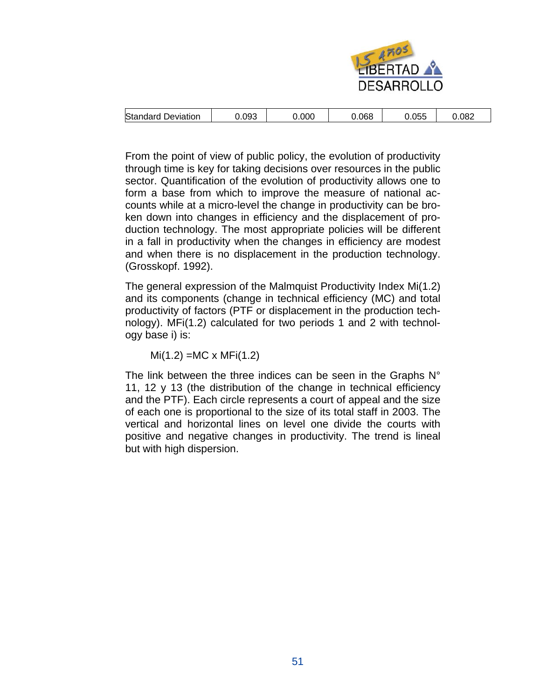

| Standard<br>Deviation | 0.093 | 0.000 | 0.068 | $\sim$ $ -$<br>15F<br>u.uu | 0.082 |
|-----------------------|-------|-------|-------|----------------------------|-------|
|-----------------------|-------|-------|-------|----------------------------|-------|

From the point of view of public policy, the evolution of productivity through time is key for taking decisions over resources in the public sector. Quantification of the evolution of productivity allows one to form a base from which to improve the measure of national accounts while at a micro-level the change in productivity can be broken down into changes in efficiency and the displacement of production technology. The most appropriate policies will be different in a fall in productivity when the changes in efficiency are modest and when there is no displacement in the production technology. (Grosskopf. 1992).

The general expression of the Malmquist Productivity Index Mi(1.2) and its components (change in technical efficiency (MC) and total productivity of factors (PTF or displacement in the production technology). MFi(1.2) calculated for two periods 1 and 2 with technology base i) is:

 $Mi(1.2) = MC \times MFi(1.2)$ 

The link between the three indices can be seen in the Graphs N° 11, 12 y 13 (the distribution of the change in technical efficiency and the PTF). Each circle represents a court of appeal and the size of each one is proportional to the size of its total staff in 2003. The vertical and horizontal lines on level one divide the courts with positive and negative changes in productivity. The trend is lineal but with high dispersion.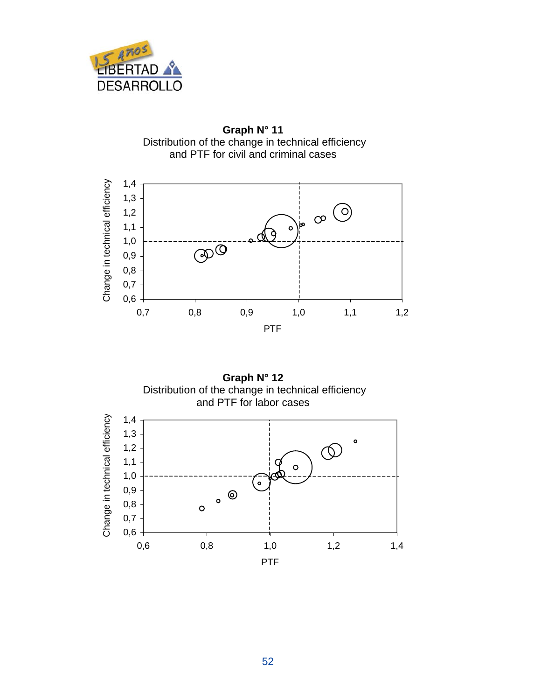

**Graph N° 11**  Distribution of the change in technical efficiency and PTF for civil and criminal cases





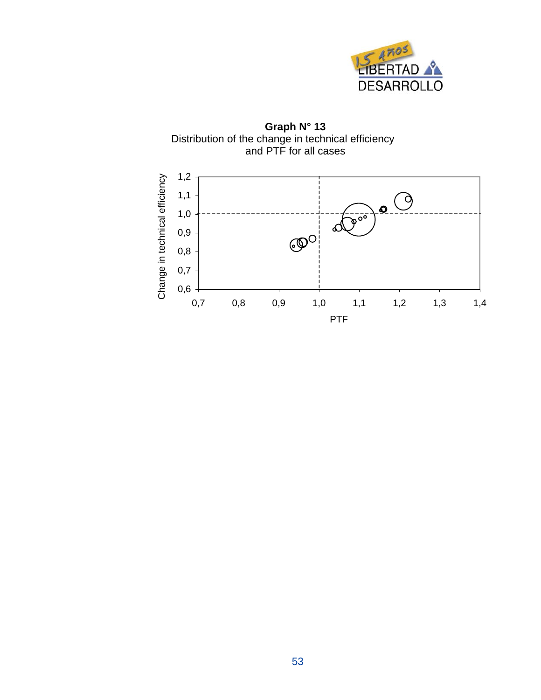

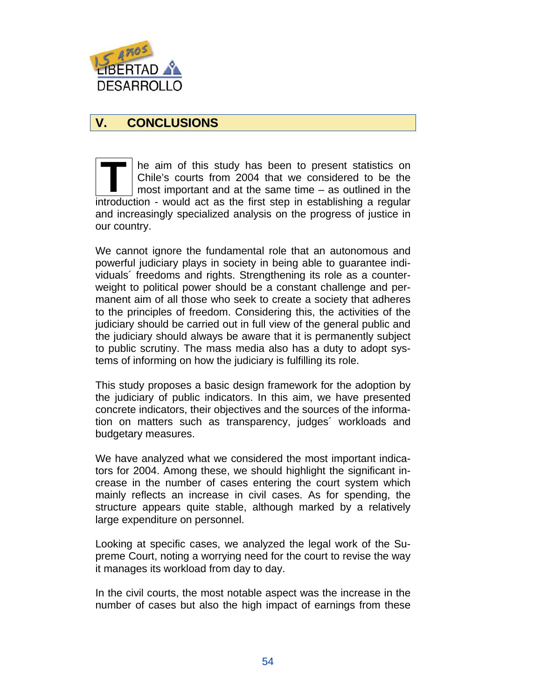

# **V. CONCLUSIONS**

he aim of this study has been to present statistics on Chile's courts from 2004 that we considered to be the most important and at the same time – as outlined in the introduction - would act as the first step in establishing a regular and increasingly specialized analysis on the progress of justice in our country. **T** 

We cannot ignore the fundamental role that an autonomous and powerful judiciary plays in society in being able to guarantee individuals´ freedoms and rights. Strengthening its role as a counterweight to political power should be a constant challenge and permanent aim of all those who seek to create a society that adheres to the principles of freedom. Considering this, the activities of the judiciary should be carried out in full view of the general public and the judiciary should always be aware that it is permanently subject to public scrutiny. The mass media also has a duty to adopt systems of informing on how the judiciary is fulfilling its role.

This study proposes a basic design framework for the adoption by the judiciary of public indicators. In this aim, we have presented concrete indicators, their objectives and the sources of the information on matters such as transparency, judges´ workloads and budgetary measures.

We have analyzed what we considered the most important indicators for 2004. Among these, we should highlight the significant increase in the number of cases entering the court system which mainly reflects an increase in civil cases. As for spending, the structure appears quite stable, although marked by a relatively large expenditure on personnel.

Looking at specific cases, we analyzed the legal work of the Supreme Court, noting a worrying need for the court to revise the way it manages its workload from day to day.

In the civil courts, the most notable aspect was the increase in the number of cases but also the high impact of earnings from these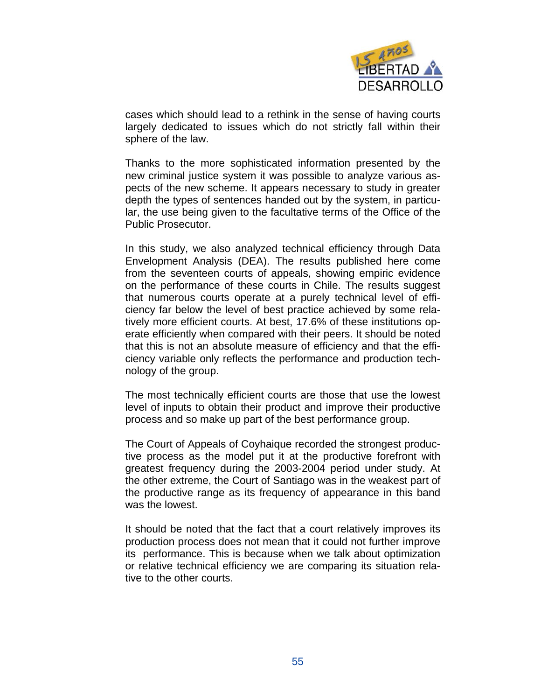

cases which should lead to a rethink in the sense of having courts largely dedicated to issues which do not strictly fall within their sphere of the law.

Thanks to the more sophisticated information presented by the new criminal justice system it was possible to analyze various aspects of the new scheme. It appears necessary to study in greater depth the types of sentences handed out by the system, in particular, the use being given to the facultative terms of the Office of the Public Prosecutor.

In this study, we also analyzed technical efficiency through Data Envelopment Analysis (DEA). The results published here come from the seventeen courts of appeals, showing empiric evidence on the performance of these courts in Chile. The results suggest that numerous courts operate at a purely technical level of efficiency far below the level of best practice achieved by some relatively more efficient courts. At best, 17.6% of these institutions operate efficiently when compared with their peers. It should be noted that this is not an absolute measure of efficiency and that the efficiency variable only reflects the performance and production technology of the group.

The most technically efficient courts are those that use the lowest level of inputs to obtain their product and improve their productive process and so make up part of the best performance group.

The Court of Appeals of Coyhaique recorded the strongest productive process as the model put it at the productive forefront with greatest frequency during the 2003-2004 period under study. At the other extreme, the Court of Santiago was in the weakest part of the productive range as its frequency of appearance in this band was the lowest.

It should be noted that the fact that a court relatively improves its production process does not mean that it could not further improve its performance. This is because when we talk about optimization or relative technical efficiency we are comparing its situation relative to the other courts.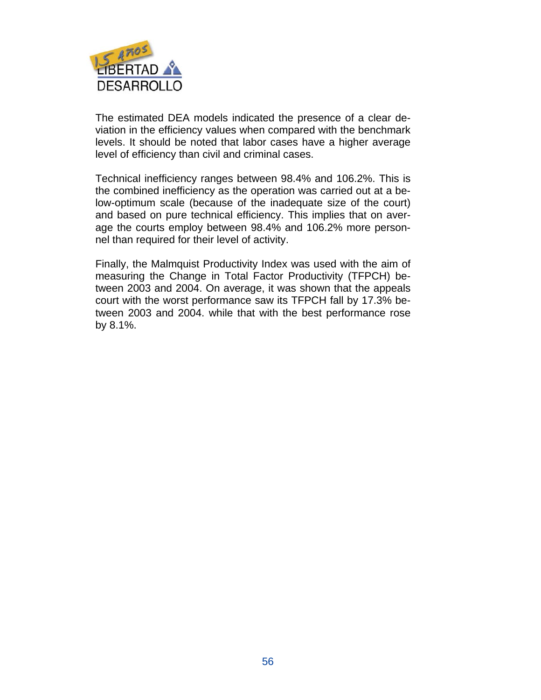

The estimated DEA models indicated the presence of a clear deviation in the efficiency values when compared with the benchmark levels. It should be noted that labor cases have a higher average level of efficiency than civil and criminal cases.

Technical inefficiency ranges between 98.4% and 106.2%. This is the combined inefficiency as the operation was carried out at a below-optimum scale (because of the inadequate size of the court) and based on pure technical efficiency. This implies that on average the courts employ between 98.4% and 106.2% more personnel than required for their level of activity.

Finally, the Malmquist Productivity Index was used with the aim of measuring the Change in Total Factor Productivity (TFPCH) between 2003 and 2004. On average, it was shown that the appeals court with the worst performance saw its TFPCH fall by 17.3% between 2003 and 2004. while that with the best performance rose by 8.1%.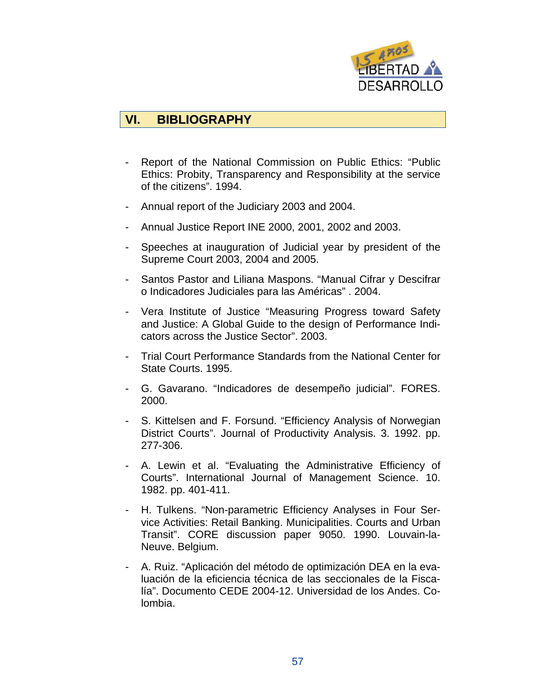

# **VI. BIBLIOGRAPHY**

- Report of the National Commission on Public Ethics: "Public Ethics: Probity, Transparency and Responsibility at the service of the citizens". 1994.
- Annual report of the Judiciary 2003 and 2004.
- Annual Justice Report INE 2000, 2001, 2002 and 2003.
- Speeches at inauguration of Judicial year by president of the Supreme Court 2003, 2004 and 2005.
- Santos Pastor and Liliana Maspons. "Manual Cifrar y Descifrar o Indicadores Judiciales para las Américas" . 2004.
- Vera Institute of Justice "Measuring Progress toward Safety and Justice: A Global Guide to the design of Performance Indicators across the Justice Sector". 2003.
- Trial Court Performance Standards from the National Center for State Courts. 1995.
- G. Gavarano. "Indicadores de desempeño judicial". FORES. 2000.
- S. Kittelsen and F. Forsund. "Efficiency Analysis of Norwegian District Courts". Journal of Productivity Analysis. 3. 1992. pp. 277-306.
- A. Lewin et al. "Evaluating the Administrative Efficiency of Courts". International Journal of Management Science. 10. 1982. pp. 401-411.
- H. Tulkens. "Non-parametric Efficiency Analyses in Four Service Activities: Retail Banking. Municipalities. Courts and Urban Transit". CORE discussion paper 9050. 1990. Louvain-la-Neuve. Belgium.
- A. Ruiz. "Aplicación del método de optimización DEA en la evaluación de la eficiencia técnica de las seccionales de la Fiscalía". Documento CEDE 2004-12. Universidad de los Andes. Colombia.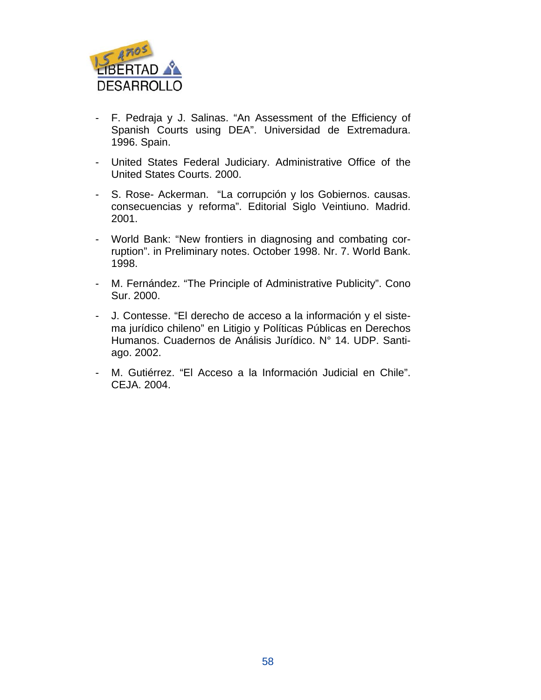

- F. Pedraja y J. Salinas. "An Assessment of the Efficiency of Spanish Courts using DEA". Universidad de Extremadura. 1996. Spain.
- United States Federal Judiciary. Administrative Office of the United States Courts. 2000.
- S. Rose- Ackerman. "La corrupción y los Gobiernos. causas. consecuencias y reforma". Editorial Siglo Veintiuno. Madrid. 2001.
- World Bank: "New frontiers in diagnosing and combating corruption". in Preliminary notes. October 1998. Nr. 7. World Bank. 1998.
- M. Fernández. "The Principle of Administrative Publicity". Cono Sur. 2000.
- J. Contesse. "El derecho de acceso a la información y el sistema jurídico chileno" en Litigio y Políticas Públicas en Derechos Humanos. Cuadernos de Análisis Jurídico. N° 14. UDP. Santiago. 2002.
- M. Gutiérrez. "El Acceso a la Información Judicial en Chile". CEJA. 2004.